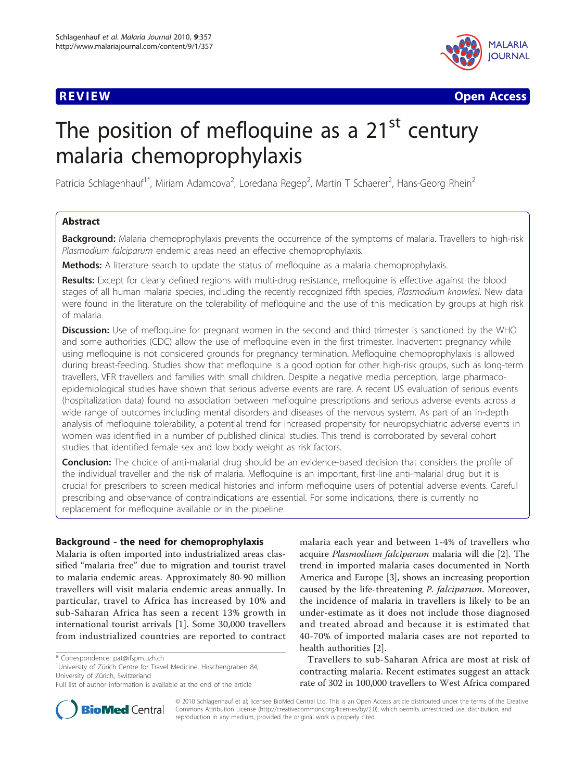

**REVIEW CONTROL** CONTROL CONTROL CONTROL CONTROL CONTROL CONTROL CONTROL CONTROL CONTROL CONTROL CONTROL CONTROL

# The position of mefloquine as a  $21<sup>st</sup>$  century malaria chemoprophylaxis

Patricia Schlagenhauf<sup>1\*</sup>, Miriam Adamcova<sup>2</sup>, Loredana Regep<sup>2</sup>, Martin T Schaerer<sup>2</sup>, Hans-Georg Rhein<sup>2</sup>

# Abstract

**Background:** Malaria chemoprophylaxis prevents the occurrence of the symptoms of malaria. Travellers to high-risk Plasmodium falciparum endemic areas need an effective chemoprophylaxis.

Methods: A literature search to update the status of mefloquine as a malaria chemoprophylaxis.

Results: Except for clearly defined regions with multi-drug resistance, mefloquine is effective against the blood stages of all human malaria species, including the recently recognized fifth species, Plasmodium knowlesi. New data were found in the literature on the tolerability of mefloquine and the use of this medication by groups at high risk of malaria.

**Discussion:** Use of mefloquine for pregnant women in the second and third trimester is sanctioned by the WHO and some authorities (CDC) allow the use of mefloquine even in the first trimester. Inadvertent pregnancy while using mefloquine is not considered grounds for pregnancy termination. Mefloquine chemoprophylaxis is allowed during breast-feeding. Studies show that mefloquine is a good option for other high-risk groups, such as long-term travellers, VFR travellers and families with small children. Despite a negative media perception, large pharmacoepidemiological studies have shown that serious adverse events are rare. A recent US evaluation of serious events (hospitalization data) found no association between mefloquine prescriptions and serious adverse events across a wide range of outcomes including mental disorders and diseases of the nervous system. As part of an in-depth analysis of mefloquine tolerability, a potential trend for increased propensity for neuropsychiatric adverse events in women was identified in a number of published clinical studies. This trend is corroborated by several cohort studies that identified female sex and low body weight as risk factors.

**Conclusion:** The choice of anti-malarial drug should be an evidence-based decision that considers the profile of the individual traveller and the risk of malaria. Mefloquine is an important, first-line anti-malarial drug but it is crucial for prescribers to screen medical histories and inform mefloquine users of potential adverse events. Careful prescribing and observance of contraindications are essential. For some indications, there is currently no replacement for mefloquine available or in the pipeline.

# Background - the need for chemoprophylaxis

Malaria is often imported into industrialized areas classified "malaria free" due to migration and tourist travel to malaria endemic areas. Approximately 80-90 million travellers will visit malaria endemic areas annually. In particular, travel to Africa has increased by 10% and sub-Saharan Africa has seen a recent 13% growth in international tourist arrivals [[1\]](#page-12-0). Some 30,000 travellers from industrialized countries are reported to contract

malaria each year and between 1-4% of travellers who acquire Plasmodium falciparum malaria will die [[2\]](#page-12-0). The trend in imported malaria cases documented in North America and Europe [[3\]](#page-12-0), shows an increasing proportion caused by the life-threatening P. falciparum. Moreover, the incidence of malaria in travellers is likely to be an under-estimate as it does not include those diagnosed and treated abroad and because it is estimated that 40-70% of imported malaria cases are not reported to health authorities [[2](#page-12-0)].

Travellers to sub-Saharan Africa are most at risk of contracting malaria. Recent estimates suggest an attack rate of 302 in 100,000 travellers to West Africa compared



© 2010 Schlagenhauf et al; licensee BioMed Central Ltd. This is an Open Access article distributed under the terms of the Creative Commons Attribution License [\(http://creativecommons.org/licenses/by/2.0](http://creativecommons.org/licenses/by/2.0)), which permits unrestricted use, distribution, and reproduction in any medium, provided the original work is properly cited.

<sup>\*</sup> Correspondence: [pat@ifspm.uzh.ch](mailto:pat@ifspm.uzh.ch)

<sup>&</sup>lt;sup>1</sup>University of Zürich Centre for Travel Medicine, Hirschengraben 84, University of Zürich, Switzerland

Full list of author information is available at the end of the article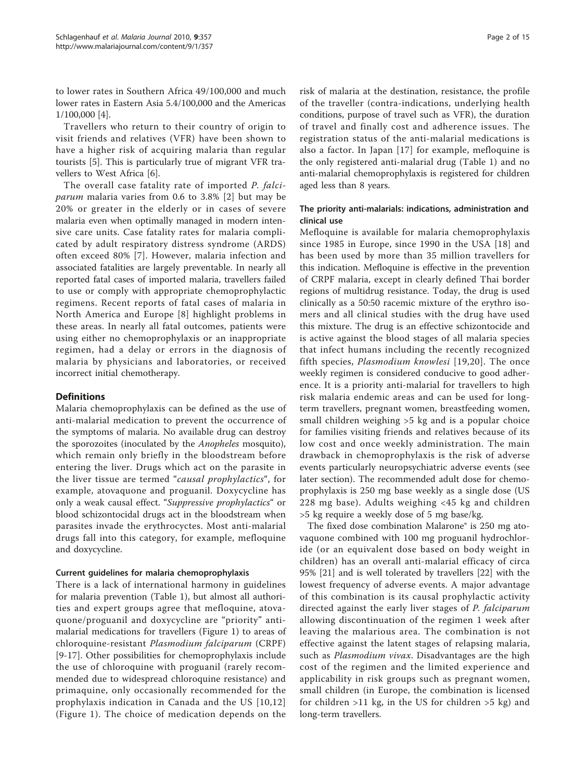to lower rates in Southern Africa 49/100,000 and much lower rates in Eastern Asia 5.4/100,000 and the Americas 1/100,000 [\[4](#page-12-0)].

Travellers who return to their country of origin to visit friends and relatives (VFR) have been shown to have a higher risk of acquiring malaria than regular tourists [[5\]](#page-12-0). This is particularly true of migrant VFR travellers to West Africa [[6\]](#page-12-0).

The overall case fatality rate of imported P. falciparum malaria varies from 0.6 to 3.8% [\[2](#page-12-0)] but may be 20% or greater in the elderly or in cases of severe malaria even when optimally managed in modern intensive care units. Case fatality rates for malaria complicated by adult respiratory distress syndrome (ARDS) often exceed 80% [\[7\]](#page-12-0). However, malaria infection and associated fatalities are largely preventable. In nearly all reported fatal cases of imported malaria, travellers failed to use or comply with appropriate chemoprophylactic regimens. Recent reports of fatal cases of malaria in North America and Europe [[8](#page-12-0)] highlight problems in these areas. In nearly all fatal outcomes, patients were using either no chemoprophylaxis or an inappropriate regimen, had a delay or errors in the diagnosis of malaria by physicians and laboratories, or received incorrect initial chemotherapy.

# **Definitions**

Malaria chemoprophylaxis can be defined as the use of anti-malarial medication to prevent the occurrence of the symptoms of malaria. No available drug can destroy the sporozoites (inoculated by the Anopheles mosquito), which remain only briefly in the bloodstream before entering the liver. Drugs which act on the parasite in the liver tissue are termed "causal prophylactics", for example, atovaquone and proguanil. Doxycycline has only a weak causal effect. "Suppressive prophylactics" or blood schizontocidal drugs act in the bloodstream when parasites invade the erythrocyctes. Most anti-malarial drugs fall into this category, for example, mefloquine and doxycycline.

### Current guidelines for malaria chemoprophylaxis

There is a lack of international harmony in guidelines for malaria prevention (Table [1\)](#page-2-0), but almost all authorities and expert groups agree that mefloquine, atovaquone/proguanil and doxycycline are "priority" antimalarial medications for travellers (Figure [1\)](#page-3-0) to areas of chloroquine-resistant Plasmodium falciparum (CRPF) [[9-17](#page-12-0)]. Other possibilities for chemoprophylaxis include the use of chloroquine with proguanil (rarely recommended due to widespread chloroquine resistance) and primaquine, only occasionally recommended for the prophylaxis indication in Canada and the US [[10](#page-12-0),[12](#page-12-0)] (Figure [1\)](#page-3-0). The choice of medication depends on the risk of malaria at the destination, resistance, the profile of the traveller (contra-indications, underlying health conditions, purpose of travel such as VFR), the duration of travel and finally cost and adherence issues. The registration status of the anti-malarial medications is also a factor. In Japan [[17\]](#page-12-0) for example, mefloquine is the only registered anti-malarial drug (Table [1](#page-2-0)) and no anti-malarial chemoprophylaxis is registered for children aged less than 8 years.

# The priority anti-malarials: indications, administration and clinical use

Mefloquine is available for malaria chemoprophylaxis since 1985 in Europe, since 1990 in the USA [[18](#page-12-0)] and has been used by more than 35 million travellers for this indication. Mefloquine is effective in the prevention of CRPF malaria, except in clearly defined Thai border regions of multidrug resistance. Today, the drug is used clinically as a 50:50 racemic mixture of the erythro isomers and all clinical studies with the drug have used this mixture. The drug is an effective schizontocide and is active against the blood stages of all malaria species that infect humans including the recently recognized fifth species, Plasmodium knowlesi [[19](#page-12-0),[20](#page-12-0)]. The once weekly regimen is considered conducive to good adherence. It is a priority anti-malarial for travellers to high risk malaria endemic areas and can be used for longterm travellers, pregnant women, breastfeeding women, small children weighing >5 kg and is a popular choice for families visiting friends and relatives because of its low cost and once weekly administration. The main drawback in chemoprophylaxis is the risk of adverse events particularly neuropsychiatric adverse events (see later section). The recommended adult dose for chemoprophylaxis is 250 mg base weekly as a single dose (US 228 mg base). Adults weighing <45 kg and children >5 kg require a weekly dose of 5 mg base/kg.

The fixed dose combination Malarone® is 250 mg atovaquone combined with 100 mg proguanil hydrochloride (or an equivalent dose based on body weight in children) has an overall anti-malarial efficacy of circa 95% [[21\]](#page-12-0) and is well tolerated by travellers [\[22\]](#page-12-0) with the lowest frequency of adverse events. A major advantage of this combination is its causal prophylactic activity directed against the early liver stages of P. falciparum allowing discontinuation of the regimen 1 week after leaving the malarious area. The combination is not effective against the latent stages of relapsing malaria, such as Plasmodium vivax. Disadvantages are the high cost of the regimen and the limited experience and applicability in risk groups such as pregnant women, small children (in Europe, the combination is licensed for children >11 kg, in the US for children >5 kg) and long-term travellers.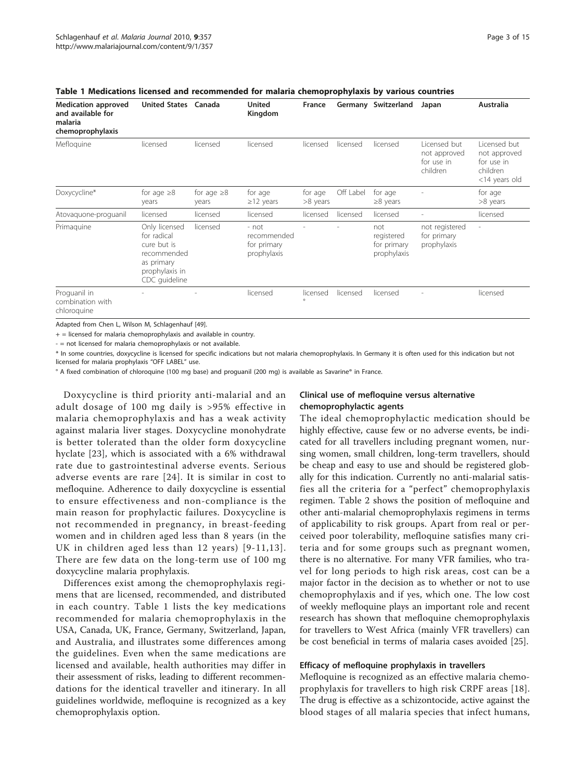| <b>Medication approved</b><br>and available for<br>malaria<br>chemoprophylaxis | United States Canada                                                                                        |                           | <b>United</b><br>Kingdom                           | France              |           | Germany Switzerland                             | Japan                                                  | Australia                                                               |
|--------------------------------------------------------------------------------|-------------------------------------------------------------------------------------------------------------|---------------------------|----------------------------------------------------|---------------------|-----------|-------------------------------------------------|--------------------------------------------------------|-------------------------------------------------------------------------|
| Mefloquine                                                                     | licensed                                                                                                    | licensed                  | licensed                                           | licensed            | licensed  | licensed                                        | Licensed but<br>not approved<br>for use in<br>children | Licensed but<br>not approved<br>for use in<br>children<br><14 years old |
| Doxycycline*                                                                   | for age $\geq 8$<br>years                                                                                   | for age $\geq 8$<br>years | for age<br>$\geq$ 12 years                         | for age<br>>8 years | Off Label | for age<br>$\geq$ 8 years                       |                                                        | for age<br>>8 years                                                     |
| Atovaquone-proguanil                                                           | licensed                                                                                                    | licensed                  | licensed                                           | licensed            | licensed  | licensed                                        |                                                        | licensed                                                                |
| Primaguine                                                                     | Only licensed<br>for radical<br>cure but is<br>recommended<br>as primary<br>prophylaxis in<br>CDC quideline | licensed                  | - not<br>recommended<br>for primary<br>prophylaxis |                     |           | not<br>registered<br>for primary<br>prophylaxis | not registered<br>for primary<br>prophylaxis           | $\overline{\phantom{a}}$                                                |
| Proguanil in<br>combination with<br>chloroquine                                |                                                                                                             |                           | licensed                                           | licensed<br>$\circ$ | licensed  | licensed                                        |                                                        | licensed                                                                |

<span id="page-2-0"></span>Table 1 Medications licensed and recommended for malaria chemoprophylaxis by various countries

Adapted from Chen L, Wilson M, Schlagenhauf [\[49](#page-13-0)].

 $+$  = licensed for malaria chemoprophylaxis and available in country.

- = not licensed for malaria chemoprophylaxis or not available.

\* In some countries, doxycycline is licensed for specific indications but not malaria chemoprophylaxis. In Germany it is often used for this indication but not licensed for malaria prophylaxis "OFF LABEL" use.

° A fixed combination of chloroquine (100 mg base) and proguanil (200 mg) is available as Savarine® in France.

Doxycycline is third priority anti-malarial and an adult dosage of 100 mg daily is >95% effective in malaria chemoprophylaxis and has a weak activity against malaria liver stages. Doxycycline monohydrate is better tolerated than the older form doxycycline hyclate [\[23\]](#page-12-0), which is associated with a 6% withdrawal rate due to gastrointestinal adverse events. Serious adverse events are rare [[24\]](#page-12-0). It is similar in cost to mefloquine. Adherence to daily doxycycline is essential to ensure effectiveness and non-compliance is the main reason for prophylactic failures. Doxycycline is not recommended in pregnancy, in breast-feeding women and in children aged less than 8 years (in the UK in children aged less than 12 years) [[9-11,13\]](#page-12-0). There are few data on the long-term use of 100 mg doxycycline malaria prophylaxis.

Differences exist among the chemoprophylaxis regimens that are licensed, recommended, and distributed in each country. Table 1 lists the key medications recommended for malaria chemoprophylaxis in the USA, Canada, UK, France, Germany, Switzerland, Japan, and Australia, and illustrates some differences among the guidelines. Even when the same medications are licensed and available, health authorities may differ in their assessment of risks, leading to different recommendations for the identical traveller and itinerary. In all guidelines worldwide, mefloquine is recognized as a key chemoprophylaxis option.

# Clinical use of mefloquine versus alternative chemoprophylactic agents

The ideal chemoprophylactic medication should be highly effective, cause few or no adverse events, be indicated for all travellers including pregnant women, nursing women, small children, long-term travellers, should be cheap and easy to use and should be registered globally for this indication. Currently no anti-malarial satisfies all the criteria for a "perfect" chemoprophylaxis regimen. Table [2](#page-3-0) shows the position of mefloquine and other anti-malarial chemoprophylaxis regimens in terms of applicability to risk groups. Apart from real or perceived poor tolerability, mefloquine satisfies many criteria and for some groups such as pregnant women, there is no alternative. For many VFR families, who travel for long periods to high risk areas, cost can be a major factor in the decision as to whether or not to use chemoprophylaxis and if yes, which one. The low cost of weekly mefloquine plays an important role and recent research has shown that mefloquine chemoprophylaxis for travellers to West Africa (mainly VFR travellers) can be cost beneficial in terms of malaria cases avoided [\[25](#page-12-0)].

#### Efficacy of mefloquine prophylaxis in travellers

Mefloquine is recognized as an effective malaria chemoprophylaxis for travellers to high risk CRPF areas [[18](#page-12-0)]. The drug is effective as a schizontocide, active against the blood stages of all malaria species that infect humans,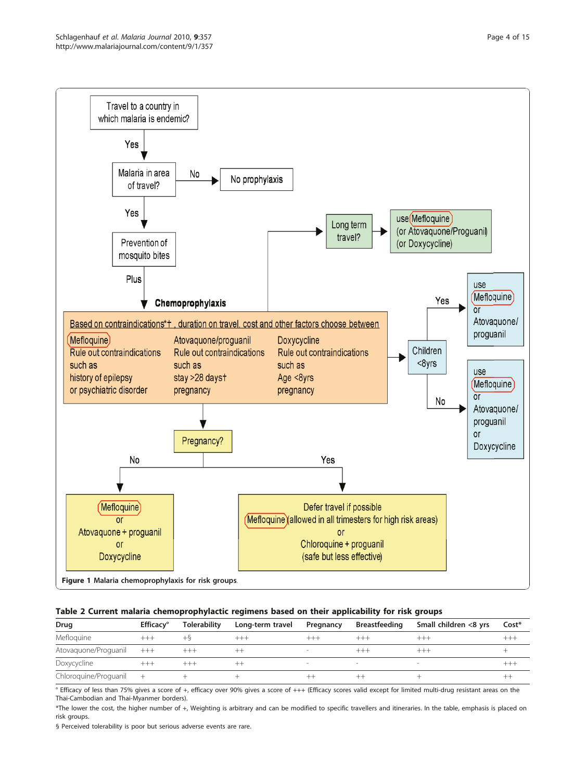<span id="page-3-0"></span>

#### Table 2 Current malaria chemoprophylactic regimens based on their applicability for risk groups

| Drug                    | Efficacy° | <b>Tolerability</b> | Long-term travel | Pregnancy | Breastfeeding | Small children <8 yrs | Cost*    |
|-------------------------|-----------|---------------------|------------------|-----------|---------------|-----------------------|----------|
| Mefloquine              | $+++$     |                     |                  |           |               | $^{+++}$              |          |
| Atovaguone/Proguanil    | $+++$     | $^{+++}$            |                  |           | $+ + +$       | $^{+++}$              |          |
| Doxycycline             | $^{+++}$  | $^{+++}$            |                  | $\sim$    | $\,$          |                       | $^{+++}$ |
| Chloroquine/Proguanil + |           |                     |                  | $^{++}$   |               |                       |          |

° Efficacy of less than 75% gives a score of +, efficacy over 90% gives a score of +++ (Efficacy scores valid except for limited multi-drug resistant areas on the Thai-Cambodian and Thai-Myanmer borders).

\*The lower the cost, the higher number of +, Weighting is arbitrary and can be modified to specific travellers and itineraries. In the table, emphasis is placed on risk groups.

§ Perceived tolerability is poor but serious adverse events are rare.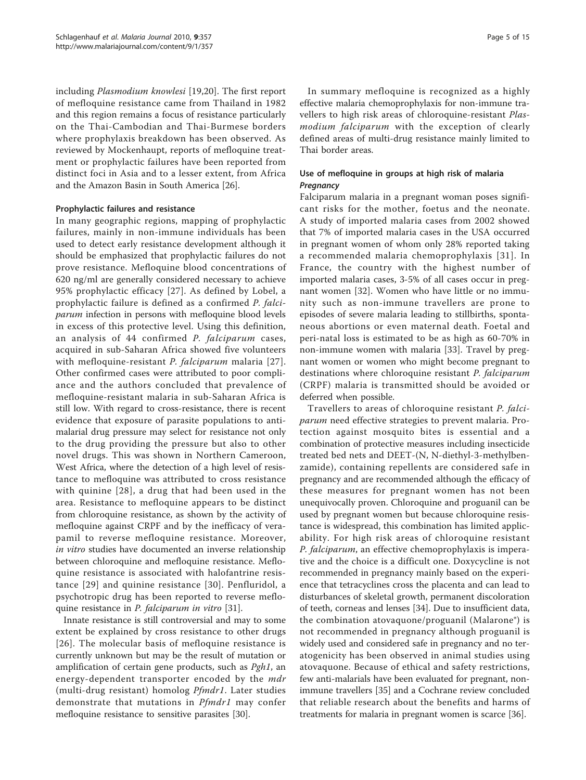including Plasmodium knowlesi [[19,20](#page-12-0)]. The first report of mefloquine resistance came from Thailand in 1982 and this region remains a focus of resistance particularly on the Thai-Cambodian and Thai-Burmese borders where prophylaxis breakdown has been observed. As reviewed by Mockenhaupt, reports of mefloquine treatment or prophylactic failures have been reported from distinct foci in Asia and to a lesser extent, from Africa and the Amazon Basin in South America [[26\]](#page-12-0).

# Prophylactic failures and resistance

In many geographic regions, mapping of prophylactic failures, mainly in non-immune individuals has been used to detect early resistance development although it should be emphasized that prophylactic failures do not prove resistance. Mefloquine blood concentrations of 620 ng/ml are generally considered necessary to achieve 95% prophylactic efficacy [\[27\]](#page-12-0). As defined by Lobel, a prophylactic failure is defined as a confirmed P. falciparum infection in persons with mefloquine blood levels in excess of this protective level. Using this definition, an analysis of 44 confirmed P. falciparum cases, acquired in sub-Saharan Africa showed five volunteers with mefloquine-resistant *P. falciparum* malaria [[27\]](#page-12-0). Other confirmed cases were attributed to poor compliance and the authors concluded that prevalence of mefloquine-resistant malaria in sub-Saharan Africa is still low. With regard to cross-resistance, there is recent evidence that exposure of parasite populations to antimalarial drug pressure may select for resistance not only to the drug providing the pressure but also to other novel drugs. This was shown in Northern Cameroon, West Africa, where the detection of a high level of resistance to mefloquine was attributed to cross resistance with quinine [[28\]](#page-12-0), a drug that had been used in the area. Resistance to mefloquine appears to be distinct from chloroquine resistance, as shown by the activity of mefloquine against CRPF and by the inefficacy of verapamil to reverse mefloquine resistance. Moreover, in vitro studies have documented an inverse relationship between chloroquine and mefloquine resistance. Mefloquine resistance is associated with halofantrine resistance [[29\]](#page-12-0) and quinine resistance [[30\]](#page-13-0). Penfluridol, a psychotropic drug has been reported to reverse mefloquine resistance in *P. falciparum in vitro* [[31](#page-13-0)].

Innate resistance is still controversial and may to some extent be explained by cross resistance to other drugs [[26\]](#page-12-0). The molecular basis of mefloquine resistance is currently unknown but may be the result of mutation or amplification of certain gene products, such as *Pgh1*, an energy-dependent transporter encoded by the mdr (multi-drug resistant) homolog Pfmdr1. Later studies demonstrate that mutations in *Pfmdr1* may confer mefloquine resistance to sensitive parasites [\[30](#page-13-0)].

In summary mefloquine is recognized as a highly effective malaria chemoprophylaxis for non-immune travellers to high risk areas of chloroquine-resistant Plasmodium falciparum with the exception of clearly defined areas of multi-drug resistance mainly limited to Thai border areas.

# Use of mefloquine in groups at high risk of malaria **Pregnancy**

Falciparum malaria in a pregnant woman poses significant risks for the mother, foetus and the neonate. A study of imported malaria cases from 2002 showed that 7% of imported malaria cases in the USA occurred in pregnant women of whom only 28% reported taking a recommended malaria chemoprophylaxis [[31](#page-13-0)]. In France, the country with the highest number of imported malaria cases, 3-5% of all cases occur in pregnant women [[32\]](#page-13-0). Women who have little or no immunity such as non-immune travellers are prone to episodes of severe malaria leading to stillbirths, spontaneous abortions or even maternal death. Foetal and peri-natal loss is estimated to be as high as 60-70% in non-immune women with malaria [[33\]](#page-13-0). Travel by pregnant women or women who might become pregnant to destinations where chloroquine resistant *P. falciparum* (CRPF) malaria is transmitted should be avoided or deferred when possible.

Travellers to areas of chloroquine resistant P. falciparum need effective strategies to prevent malaria. Protection against mosquito bites is essential and a combination of protective measures including insecticide treated bed nets and DEET-(N, N-diethyl-3-methylbenzamide), containing repellents are considered safe in pregnancy and are recommended although the efficacy of these measures for pregnant women has not been unequivocally proven. Chloroquine and proguanil can be used by pregnant women but because chloroquine resistance is widespread, this combination has limited applicability. For high risk areas of chloroquine resistant P. falciparum, an effective chemoprophylaxis is imperative and the choice is a difficult one. Doxycycline is not recommended in pregnancy mainly based on the experience that tetracyclines cross the placenta and can lead to disturbances of skeletal growth, permanent discoloration of teeth, corneas and lenses [[34\]](#page-13-0). Due to insufficient data, the combination atovaquone/proguanil (Malarone®) is not recommended in pregnancy although proguanil is widely used and considered safe in pregnancy and no teratogenicity has been observed in animal studies using atovaquone. Because of ethical and safety restrictions, few anti-malarials have been evaluated for pregnant, nonimmune travellers [[35](#page-13-0)] and a Cochrane review concluded that reliable research about the benefits and harms of treatments for malaria in pregnant women is scarce [[36\]](#page-13-0).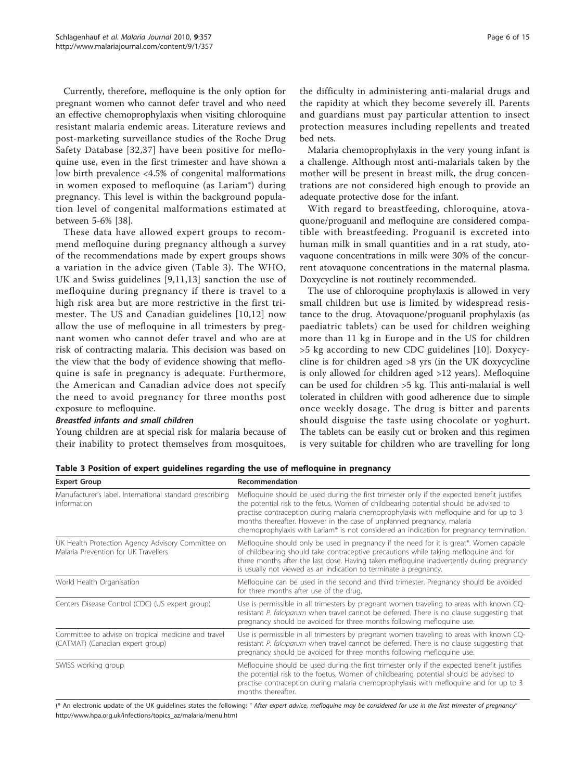Currently, therefore, mefloquine is the only option for pregnant women who cannot defer travel and who need an effective chemoprophylaxis when visiting chloroquine resistant malaria endemic areas. Literature reviews and post-marketing surveillance studies of the Roche Drug Safety Database [[32](#page-13-0),[37](#page-13-0)] have been positive for mefloquine use, even in the first trimester and have shown a low birth prevalence <4.5% of congenital malformations in women exposed to mefloquine (as Lariam®) during pregnancy. This level is within the background population level of congenital malformations estimated at between 5-6% [\[38\]](#page-13-0).

These data have allowed expert groups to recommend mefloquine during pregnancy although a survey of the recommendations made by expert groups shows a variation in the advice given (Table 3). The WHO, UK and Swiss guidelines [\[9,11](#page-12-0),[13\]](#page-12-0) sanction the use of mefloquine during pregnancy if there is travel to a high risk area but are more restrictive in the first trimester. The US and Canadian guidelines [[10,12\]](#page-12-0) now allow the use of mefloquine in all trimesters by pregnant women who cannot defer travel and who are at risk of contracting malaria. This decision was based on the view that the body of evidence showing that mefloquine is safe in pregnancy is adequate. Furthermore, the American and Canadian advice does not specify the need to avoid pregnancy for three months post exposure to mefloquine.

# Breastfed infants and small children

Young children are at special risk for malaria because of their inability to protect themselves from mosquitoes,

the difficulty in administering anti-malarial drugs and the rapidity at which they become severely ill. Parents and guardians must pay particular attention to insect protection measures including repellents and treated bed nets.

Malaria chemoprophylaxis in the very young infant is a challenge. Although most anti-malarials taken by the mother will be present in breast milk, the drug concentrations are not considered high enough to provide an adequate protective dose for the infant.

With regard to breastfeeding, chloroquine, atovaquone/proguanil and mefloquine are considered compatible with breastfeeding. Proguanil is excreted into human milk in small quantities and in a rat study, atovaquone concentrations in milk were 30% of the concurrent atovaquone concentrations in the maternal plasma. Doxycycline is not routinely recommended.

The use of chloroquine prophylaxis is allowed in very small children but use is limited by widespread resistance to the drug. Atovaquone/proguanil prophylaxis (as paediatric tablets) can be used for children weighing more than 11 kg in Europe and in the US for children >5 kg according to new CDC guidelines [\[10](#page-12-0)]. Doxycycline is for children aged >8 yrs (in the UK doxycycline is only allowed for children aged >12 years). Mefloquine can be used for children >5 kg. This anti-malarial is well tolerated in children with good adherence due to simple once weekly dosage. The drug is bitter and parents should disguise the taste using chocolate or yoghurt. The tablets can be easily cut or broken and this regimen is very suitable for children who are travelling for long

Table 3 Position of expert guidelines regarding the use of mefloquine in pregnancy

| <b>Expert Group</b>                                                                       | Recommendation                                                                                                                                                                                                                                                                                                                                                                                                                                       |  |  |
|-------------------------------------------------------------------------------------------|------------------------------------------------------------------------------------------------------------------------------------------------------------------------------------------------------------------------------------------------------------------------------------------------------------------------------------------------------------------------------------------------------------------------------------------------------|--|--|
| Manufacturer's label. International standard prescribing<br>information                   | Mefloquine should be used during the first trimester only if the expected benefit justifies<br>the potential risk to the fetus. Women of childbearing potential should be advised to<br>practise contraception during malaria chemoprophylaxis with mefloquine and for up to 3<br>months thereafter. However in the case of unplanned pregnancy, malaria<br>chemoprophylaxis with Lariam® is not considered an indication for pregnancy termination. |  |  |
| UK Health Protection Agency Advisory Committee on<br>Malaria Prevention for UK Travellers | Mefloquine should only be used in pregnancy if the need for it is great*. Women capable<br>of childbearing should take contraceptive precautions while taking mefloquine and for<br>three months after the last dose. Having taken mefloquine inadvertently during pregnancy<br>is usually not viewed as an indication to terminate a pregnancy.                                                                                                     |  |  |
| World Health Organisation                                                                 | Mefloquine can be used in the second and third trimester. Pregnancy should be avoided<br>for three months after use of the drug.                                                                                                                                                                                                                                                                                                                     |  |  |
| Centers Disease Control (CDC) (US expert group)                                           | Use is permissible in all trimesters by pregnant women traveling to areas with known CQ-<br>resistant P. falciparum when travel cannot be deferred. There is no clause suggesting that<br>pregnancy should be avoided for three months following mefloquine use.                                                                                                                                                                                     |  |  |
| Committee to advise on tropical medicine and travel<br>(CATMAT) (Canadian expert group)   | Use is permissible in all trimesters by pregnant women traveling to areas with known CQ-<br>resistant P. falciparum when travel cannot be deferred. There is no clause suggesting that<br>pregnancy should be avoided for three months following mefloquine use.                                                                                                                                                                                     |  |  |
| SWISS working group                                                                       | Mefloquine should be used during the first trimester only if the expected benefit justifies<br>the potential risk to the foetus. Women of childbearing potential should be advised to<br>practise contraception during malaria chemoprophylaxis with mefloquine and for up to 3<br>months thereafter.                                                                                                                                                |  |  |

(\* An electronic update of the UK guidelines states the following: " After expert advice, mefloquine may be considered for use in the first trimester of pregnancy" [http://www.hpa.org.uk/infections/topics\\_az/malaria/menu.htm](http://www.malariajournal.com/content/9/1/357))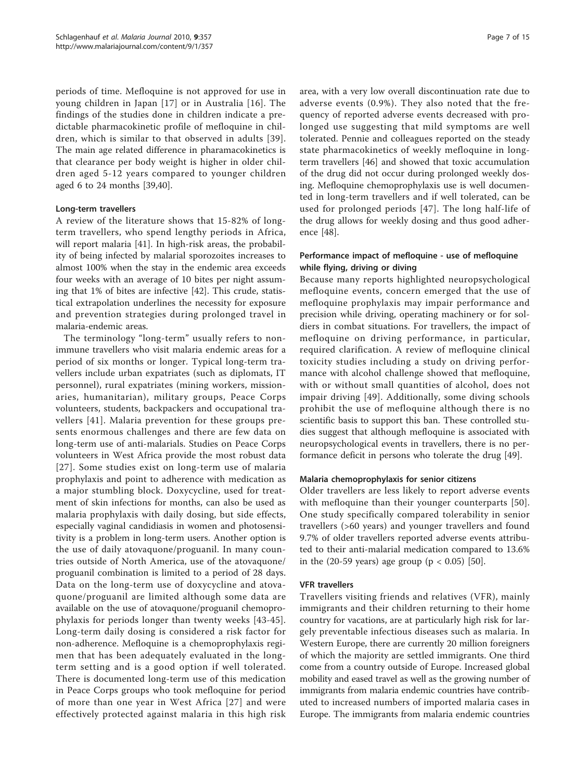periods of time. Mefloquine is not approved for use in young children in Japan [[17](#page-12-0)] or in Australia [\[16\]](#page-12-0). The findings of the studies done in children indicate a predictable pharmacokinetic profile of mefloquine in children, which is similar to that observed in adults [[39](#page-13-0)]. The main age related difference in pharamacokinetics is that clearance per body weight is higher in older children aged 5-12 years compared to younger children aged 6 to 24 months [\[39,40](#page-13-0)].

# Long-term travellers

A review of the literature shows that 15-82% of longterm travellers, who spend lengthy periods in Africa, will report malaria [\[41\]](#page-13-0). In high-risk areas, the probability of being infected by malarial sporozoites increases to almost 100% when the stay in the endemic area exceeds four weeks with an average of 10 bites per night assuming that 1% of bites are infective [[42](#page-13-0)]. This crude, statistical extrapolation underlines the necessity for exposure and prevention strategies during prolonged travel in malaria-endemic areas.

The terminology "long-term" usually refers to nonimmune travellers who visit malaria endemic areas for a period of six months or longer. Typical long-term travellers include urban expatriates (such as diplomats, IT personnel), rural expatriates (mining workers, missionaries, humanitarian), military groups, Peace Corps volunteers, students, backpackers and occupational travellers [[41\]](#page-13-0). Malaria prevention for these groups presents enormous challenges and there are few data on long-term use of anti-malarials. Studies on Peace Corps volunteers in West Africa provide the most robust data [[27\]](#page-12-0). Some studies exist on long-term use of malaria prophylaxis and point to adherence with medication as a major stumbling block. Doxycycline, used for treatment of skin infections for months, can also be used as malaria prophylaxis with daily dosing, but side effects, especially vaginal candidiasis in women and photosensitivity is a problem in long-term users. Another option is the use of daily atovaquone/proguanil. In many countries outside of North America, use of the atovaquone/ proguanil combination is limited to a period of 28 days. Data on the long-term use of doxycycline and atovaquone/proguanil are limited although some data are available on the use of atovaquone/proguanil chemoprophylaxis for periods longer than twenty weeks [[43](#page-13-0)-[45\]](#page-13-0). Long-term daily dosing is considered a risk factor for non-adherence. Mefloquine is a chemoprophylaxis regimen that has been adequately evaluated in the longterm setting and is a good option if well tolerated. There is documented long-term use of this medication in Peace Corps groups who took mefloquine for period of more than one year in West Africa [[27](#page-12-0)] and were effectively protected against malaria in this high risk area, with a very low overall discontinuation rate due to adverse events (0.9%). They also noted that the frequency of reported adverse events decreased with prolonged use suggesting that mild symptoms are well tolerated. Pennie and colleagues reported on the steady state pharmacokinetics of weekly mefloquine in longterm travellers [\[46](#page-13-0)] and showed that toxic accumulation of the drug did not occur during prolonged weekly dosing. Mefloquine chemoprophylaxis use is well documented in long-term travellers and if well tolerated, can be used for prolonged periods [\[47\]](#page-13-0). The long half-life of the drug allows for weekly dosing and thus good adherence [[48](#page-13-0)].

# Performance impact of mefloquine - use of mefloquine while flying, driving or diving

Because many reports highlighted neuropsychological mefloquine events, concern emerged that the use of mefloquine prophylaxis may impair performance and precision while driving, operating machinery or for soldiers in combat situations. For travellers, the impact of mefloquine on driving performance, in particular, required clarification. A review of mefloquine clinical toxicity studies including a study on driving performance with alcohol challenge showed that mefloquine, with or without small quantities of alcohol, does not impair driving [\[49\]](#page-13-0). Additionally, some diving schools prohibit the use of mefloquine although there is no scientific basis to support this ban. These controlled studies suggest that although mefloquine is associated with neuropsychological events in travellers, there is no performance deficit in persons who tolerate the drug [[49\]](#page-13-0).

## Malaria chemoprophylaxis for senior citizens

Older travellers are less likely to report adverse events with mefloquine than their younger counterparts [[50](#page-13-0)]. One study specifically compared tolerability in senior travellers (>60 years) and younger travellers and found 9.7% of older travellers reported adverse events attributed to their anti-malarial medication compared to 13.6% in the (20-59 years) age group ( $p < 0.05$ ) [[50](#page-13-0)].

# VFR travellers

Travellers visiting friends and relatives (VFR), mainly immigrants and their children returning to their home country for vacations, are at particularly high risk for largely preventable infectious diseases such as malaria. In Western Europe, there are currently 20 million foreigners of which the majority are settled immigrants. One third come from a country outside of Europe. Increased global mobility and eased travel as well as the growing number of immigrants from malaria endemic countries have contributed to increased numbers of imported malaria cases in Europe. The immigrants from malaria endemic countries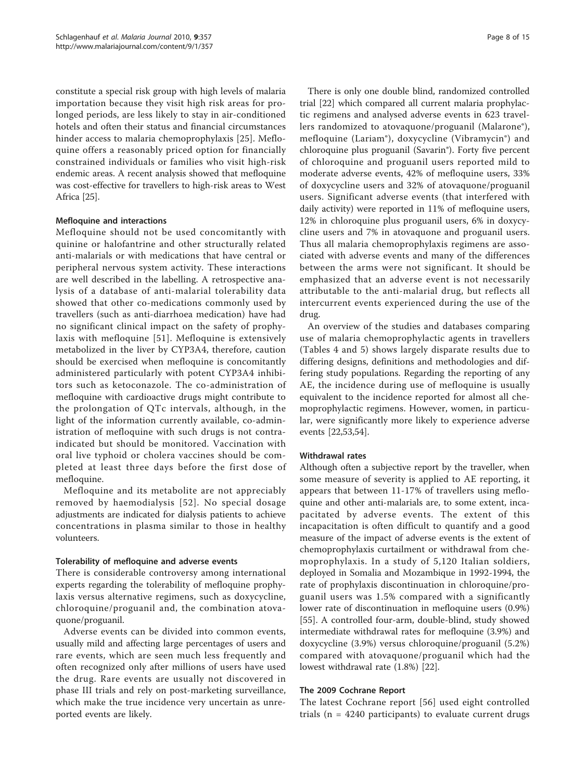constitute a special risk group with high levels of malaria importation because they visit high risk areas for prolonged periods, are less likely to stay in air-conditioned hotels and often their status and financial circumstances hinder access to malaria chemoprophylaxis [[25\]](#page-12-0). Mefloquine offers a reasonably priced option for financially constrained individuals or families who visit high-risk endemic areas. A recent analysis showed that mefloquine was cost-effective for travellers to high-risk areas to West Africa [[25](#page-12-0)].

# Mefloquine and interactions

Mefloquine should not be used concomitantly with quinine or halofantrine and other structurally related anti-malarials or with medications that have central or peripheral nervous system activity. These interactions are well described in the labelling. A retrospective analysis of a database of anti-malarial tolerability data showed that other co-medications commonly used by travellers (such as anti-diarrhoea medication) have had no significant clinical impact on the safety of prophylaxis with mefloquine [[51](#page-13-0)]. Mefloquine is extensively metabolized in the liver by CYP3A4, therefore, caution should be exercised when mefloquine is concomitantly administered particularly with potent CYP3A4 inhibitors such as ketoconazole. The co-administration of mefloquine with cardioactive drugs might contribute to the prolongation of QTc intervals, although, in the light of the information currently available, co-administration of mefloquine with such drugs is not contraindicated but should be monitored. Vaccination with oral live typhoid or cholera vaccines should be completed at least three days before the first dose of mefloquine.

Mefloquine and its metabolite are not appreciably removed by haemodialysis [[52\]](#page-13-0). No special dosage adjustments are indicated for dialysis patients to achieve concentrations in plasma similar to those in healthy volunteers.

#### Tolerability of mefloquine and adverse events

There is considerable controversy among international experts regarding the tolerability of mefloquine prophylaxis versus alternative regimens, such as doxycycline, chloroquine/proguanil and, the combination atovaquone/proguanil.

Adverse events can be divided into common events, usually mild and affecting large percentages of users and rare events, which are seen much less frequently and often recognized only after millions of users have used the drug. Rare events are usually not discovered in phase III trials and rely on post-marketing surveillance, which make the true incidence very uncertain as unreported events are likely.

There is only one double blind, randomized controlled trial [[22](#page-12-0)] which compared all current malaria prophylactic regimens and analysed adverse events in 623 travellers randomized to atovaquone/proguanil (Malarone®), mefloquine (Lariam®), doxycycline (Vibramycin®) and chloroquine plus proguanil (Savarin®). Forty five percent of chloroquine and proguanil users reported mild to moderate adverse events, 42% of mefloquine users, 33% of doxycycline users and 32% of atovaquone/proguanil users. Significant adverse events (that interfered with daily activity) were reported in 11% of mefloquine users, 12% in chloroquine plus proguanil users, 6% in doxycycline users and 7% in atovaquone and proguanil users. Thus all malaria chemoprophylaxis regimens are associated with adverse events and many of the differences between the arms were not significant. It should be emphasized that an adverse event is not necessarily attributable to the anti-malarial drug, but reflects all intercurrent events experienced during the use of the drug.

An overview of the studies and databases comparing use of malaria chemoprophylactic agents in travellers (Tables [4](#page-8-0) and [5\)](#page-8-0) shows largely disparate results due to differing designs, definitions and methodologies and differing study populations. Regarding the reporting of any AE, the incidence during use of mefloquine is usually equivalent to the incidence reported for almost all chemoprophylactic regimens. However, women, in particular, were significantly more likely to experience adverse events [[22](#page-12-0),[53,54](#page-13-0)].

# Withdrawal rates

Although often a subjective report by the traveller, when some measure of severity is applied to AE reporting, it appears that between 11-17% of travellers using mefloquine and other anti-malarials are, to some extent, incapacitated by adverse events. The extent of this incapacitation is often difficult to quantify and a good measure of the impact of adverse events is the extent of chemoprophylaxis curtailment or withdrawal from chemoprophylaxis. In a study of 5,120 Italian soldiers, deployed in Somalia and Mozambique in 1992-1994, the rate of prophylaxis discontinuation in chloroquine/proguanil users was 1.5% compared with a significantly lower rate of discontinuation in mefloquine users (0.9%) [[55\]](#page-13-0). A controlled four-arm, double-blind, study showed intermediate withdrawal rates for mefloquine (3.9%) and doxycycline (3.9%) versus chloroquine/proguanil (5.2%) compared with atovaquone/proguanil which had the lowest withdrawal rate (1.8%) [[22\]](#page-12-0).

# The 2009 Cochrane Report

The latest Cochrane report [[56](#page-13-0)] used eight controlled trials ( $n = 4240$  participants) to evaluate current drugs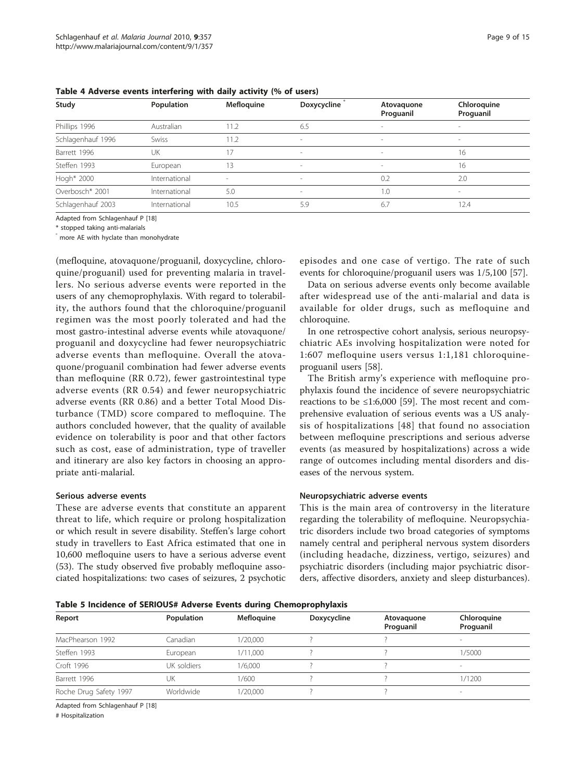| Study             | Population    | Mefloquine | Doxycycline | Atovaguone<br>Proguanil  | Chloroquine<br>Proguanil |
|-------------------|---------------|------------|-------------|--------------------------|--------------------------|
| Phillips 1996     | Australian    | 11.2       | 6.5         | $\overline{\phantom{0}}$ | $\overline{\phantom{a}}$ |
| Schlagenhauf 1996 | <b>Swiss</b>  | 11.2       | $\sim$      | $\overline{a}$           | $\sim$                   |
| Barrett 1996      | UK            |            | $\sim$      | $\sim$                   | 16                       |
| Steffen 1993      | European      | 13         | $\sim$      | $\overline{\phantom{0}}$ | 16                       |
| Hogh* 2000        | International | $\sim$     | $\sim$      | 0.2                      | 2.0                      |
| Overbosch* 2001   | International | 5.0        | $\sim$      | 1.0                      | $\overline{\phantom{a}}$ |
| Schlagenhauf 2003 | International | 10.5       | 5.9         | 6.7                      | 12.4                     |

<span id="page-8-0"></span>Table 4 Adverse events interfering with daily activity (% of users)

Adapted from Schlagenhauf P [\[18\]](#page-12-0)

\* stopped taking anti-malarials

° more AE with hyclate than monohydrate

(mefloquine, atovaquone/proguanil, doxycycline, chloroquine/proguanil) used for preventing malaria in travellers. No serious adverse events were reported in the users of any chemoprophylaxis. With regard to tolerability, the authors found that the chloroquine/proguanil regimen was the most poorly tolerated and had the most gastro-intestinal adverse events while atovaquone/ proguanil and doxycycline had fewer neuropsychiatric adverse events than mefloquine. Overall the atovaquone/proguanil combination had fewer adverse events than mefloquine (RR 0.72), fewer gastrointestinal type adverse events (RR 0.54) and fewer neuropsychiatric adverse events (RR 0.86) and a better Total Mood Disturbance (TMD) score compared to mefloquine. The authors concluded however, that the quality of available evidence on tolerability is poor and that other factors such as cost, ease of administration, type of traveller and itinerary are also key factors in choosing an appropriate anti-malarial.

### Serious adverse events

These are adverse events that constitute an apparent threat to life, which require or prolong hospitalization or which result in severe disability. Steffen's large cohort study in travellers to East Africa estimated that one in 10,600 mefloquine users to have a serious adverse event (53). The study observed five probably mefloquine associated hospitalizations: two cases of seizures, 2 psychotic

episodes and one case of vertigo. The rate of such events for chloroquine/proguanil users was 1/5,100 [[57](#page-13-0)].

Data on serious adverse events only become available after widespread use of the anti-malarial and data is available for older drugs, such as mefloquine and chloroquine.

In one retrospective cohort analysis, serious neuropsychiatric AEs involving hospitalization were noted for 1:607 mefloquine users versus 1:1,181 chloroquineproguanil users [[58\]](#page-13-0).

The British army's experience with mefloquine prophylaxis found the incidence of severe neuropsychiatric reactions to be  $\leq$ 1:6,000 [\[59](#page-13-0)]. The most recent and comprehensive evaluation of serious events was a US analysis of hospitalizations [[48](#page-13-0)] that found no association between mefloquine prescriptions and serious adverse events (as measured by hospitalizations) across a wide range of outcomes including mental disorders and diseases of the nervous system.

# Neuropsychiatric adverse events

This is the main area of controversy in the literature regarding the tolerability of mefloquine. Neuropsychiatric disorders include two broad categories of symptoms namely central and peripheral nervous system disorders (including headache, dizziness, vertigo, seizures) and psychiatric disorders (including major psychiatric disorders, affective disorders, anxiety and sleep disturbances).

Table 5 Incidence of SERIOUS# Adverse Events during Chemoprophylaxis

| Report                 | Population  | Mefloquine | Doxycycline | Atovaguone<br>Proguanil | Chloroquine<br>Proguanil |
|------------------------|-------------|------------|-------------|-------------------------|--------------------------|
| MacPhearson 1992       | Canadian    | 1/20.000   |             |                         |                          |
| Steffen 1993           | European    | 1/11,000   |             |                         | 1/5000                   |
| Croft 1996             | UK soldiers | 1/6.000    |             |                         |                          |
| Barrett 1996           | UK          | 1/600      |             |                         | 1/1200                   |
| Roche Drug Safety 1997 | Worldwide   | 1/20.000   |             |                         |                          |

Adapted from Schlagenhauf P [\[18\]](#page-12-0)

# Hospitalization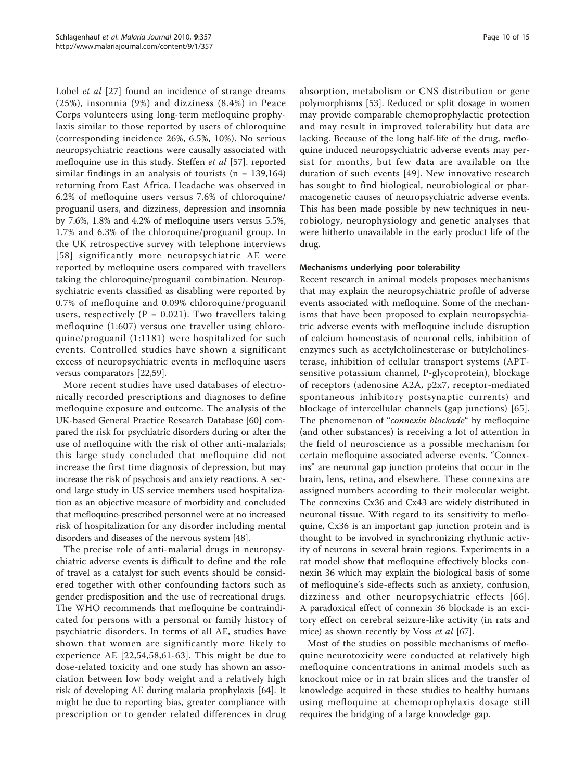Lobel *et al* [\[27\]](#page-12-0) found an incidence of strange dreams (25%), insomnia (9%) and dizziness (8.4%) in Peace Corps volunteers using long-term mefloquine prophylaxis similar to those reported by users of chloroquine (corresponding incidence 26%, 6.5%, 10%). No serious neuropsychiatric reactions were causally associated with mefloquine use in this study. Steffen et al [[57\]](#page-13-0). reported similar findings in an analysis of tourists  $(n = 139,164)$ returning from East Africa. Headache was observed in 6.2% of mefloquine users versus 7.6% of chloroquine/ proguanil users, and dizziness, depression and insomnia by 7.6%, 1.8% and 4.2% of mefloquine users versus 5.5%, 1.7% and 6.3% of the chloroquine/proguanil group. In the UK retrospective survey with telephone interviews [[58](#page-13-0)] significantly more neuropsychiatric AE were reported by mefloquine users compared with travellers taking the chloroquine/proguanil combination. Neuropsychiatric events classified as disabling were reported by 0.7% of mefloquine and 0.09% chloroquine/proguanil users, respectively ( $P = 0.021$ ). Two travellers taking mefloquine (1:607) versus one traveller using chloroquine/proguanil (1:1181) were hospitalized for such events. Controlled studies have shown a significant excess of neuropsychiatric events in mefloquine users versus comparators [[22](#page-12-0)[,59](#page-13-0)].

More recent studies have used databases of electronically recorded prescriptions and diagnoses to define mefloquine exposure and outcome. The analysis of the UK-based General Practice Research Database [\[60](#page-13-0)] compared the risk for psychiatric disorders during or after the use of mefloquine with the risk of other anti-malarials; this large study concluded that mefloquine did not increase the first time diagnosis of depression, but may increase the risk of psychosis and anxiety reactions. A second large study in US service members used hospitalization as an objective measure of morbidity and concluded that mefloquine-prescribed personnel were at no increased risk of hospitalization for any disorder including mental disorders and diseases of the nervous system [[48](#page-13-0)].

The precise role of anti-malarial drugs in neuropsychiatric adverse events is difficult to define and the role of travel as a catalyst for such events should be considered together with other confounding factors such as gender predisposition and the use of recreational drugs. The WHO recommends that mefloquine be contraindicated for persons with a personal or family history of psychiatric disorders. In terms of all AE, studies have shown that women are significantly more likely to experience AE [[22](#page-12-0),[54](#page-13-0),[58,61-63\]](#page-13-0). This might be due to dose-related toxicity and one study has shown an association between low body weight and a relatively high risk of developing AE during malaria prophylaxis [[64\]](#page-13-0). It might be due to reporting bias, greater compliance with prescription or to gender related differences in drug

absorption, metabolism or CNS distribution or gene polymorphisms [[53\]](#page-13-0). Reduced or split dosage in women may provide comparable chemoprophylactic protection and may result in improved tolerability but data are lacking. Because of the long half-life of the drug, mefloquine induced neuropsychiatric adverse events may persist for months, but few data are available on the duration of such events [\[49\]](#page-13-0). New innovative research has sought to find biological, neurobiological or pharmacogenetic causes of neuropsychiatric adverse events. This has been made possible by new techniques in neurobiology, neurophysiology and genetic analyses that were hitherto unavailable in the early product life of the drug.

# Mechanisms underlying poor tolerability

Recent research in animal models proposes mechanisms that may explain the neuropsychiatric profile of adverse events associated with mefloquine. Some of the mechanisms that have been proposed to explain neuropsychiatric adverse events with mefloquine include disruption of calcium homeostasis of neuronal cells, inhibition of enzymes such as acetylcholinesterase or butylcholinesterase, inhibition of cellular transport systems (APTsensitive potassium channel, P-glycoprotein), blockage of receptors (adenosine A2A, p2x7, receptor-mediated spontaneous inhibitory postsynaptic currents) and blockage of intercellular channels (gap junctions) [[65](#page-13-0)]. The phenomenon of "connexin blockade" by mefloquine (and other substances) is receiving a lot of attention in the field of neuroscience as a possible mechanism for certain mefloquine associated adverse events. "Connexins" are neuronal gap junction proteins that occur in the brain, lens, retina, and elsewhere. These connexins are assigned numbers according to their molecular weight. The connexins Cx36 and Cx43 are widely distributed in neuronal tissue. With regard to its sensitivity to mefloquine, Cx36 is an important gap junction protein and is thought to be involved in synchronizing rhythmic activity of neurons in several brain regions. Experiments in a rat model show that mefloquine effectively blocks connexin 36 which may explain the biological basis of some of mefloquine's side-effects such as anxiety, confusion, dizziness and other neuropsychiatric effects [[66\]](#page-13-0). A paradoxical effect of connexin 36 blockade is an excitory effect on cerebral seizure-like activity (in rats and mice) as shown recently by Voss et al [\[67\]](#page-13-0).

Most of the studies on possible mechanisms of mefloquine neurotoxicity were conducted at relatively high mefloquine concentrations in animal models such as knockout mice or in rat brain slices and the transfer of knowledge acquired in these studies to healthy humans using mefloquine at chemoprophylaxis dosage still requires the bridging of a large knowledge gap.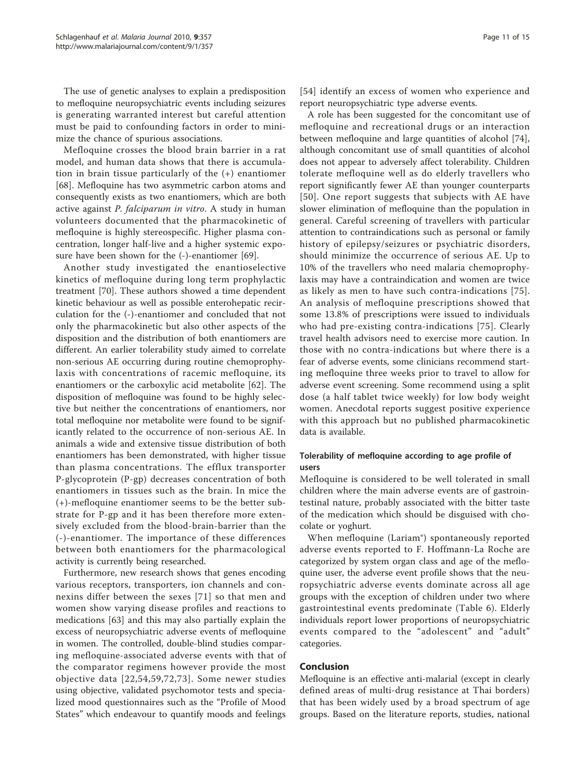The use of genetic analyses to explain a predisposition to mefloquine neuropsychiatric events including seizures is generating warranted interest but careful attention must be paid to confounding factors in order to minimize the chance of spurious associations.

Mefloquine crosses the blood brain barrier in a rat model, and human data shows that there is accumulation in brain tissue particularly of the (+) enantiomer [[68\]](#page-13-0). Mefloquine has two asymmetric carbon atoms and consequently exists as two enantiomers, which are both active against P. falciparum in vitro. A study in human volunteers documented that the pharmacokinetic of mefloquine is highly stereospecific. Higher plasma concentration, longer half-live and a higher systemic expo-sure have been shown for the (-)-enantiomer [\[69\]](#page-13-0).

Another study investigated the enantioselective kinetics of mefloquine during long term prophylactic treatment [\[70](#page-13-0)]. These authors showed a time dependent kinetic behaviour as well as possible enterohepatic recirculation for the (-)-enantiomer and concluded that not only the pharmacokinetic but also other aspects of the disposition and the distribution of both enantiomers are different. An earlier tolerability study aimed to correlate non-serious AE occurring during routine chemoprophylaxis with concentrations of racemic mefloquine, its enantiomers or the carboxylic acid metabolite [[62](#page-13-0)]. The disposition of mefloquine was found to be highly selective but neither the concentrations of enantiomers, nor total mefloquine nor metabolite were found to be significantly related to the occurrence of non-serious AE. In animals a wide and extensive tissue distribution of both enantiomers has been demonstrated, with higher tissue than plasma concentrations. The efflux transporter P-glycoprotein (P-gp) decreases concentration of both enantiomers in tissues such as the brain. In mice the (+)-mefloquine enantiomer seems to be the better substrate for P-gp and it has been therefore more extensively excluded from the blood-brain-barrier than the (-)-enantiomer. The importance of these differences between both enantiomers for the pharmacological activity is currently being researched.

Furthermore, new research shows that genes encoding various receptors, transporters, ion channels and connexins differ between the sexes [\[71\]](#page-13-0) so that men and women show varying disease profiles and reactions to medications [\[63](#page-13-0)] and this may also partially explain the excess of neuropsychiatric adverse events of mefloquine in women. The controlled, double-blind studies comparing mefloquine-associated adverse events with that of the comparator regimens however provide the most objective data [[22,](#page-12-0)[54,59](#page-13-0),[72,73\]](#page-13-0). Some newer studies using objective, validated psychomotor tests and specialized mood questionnaires such as the "Profile of Mood States" which endeavour to quantify moods and feelings

[[54](#page-13-0)] identify an excess of women who experience and report neuropsychiatric type adverse events.

A role has been suggested for the concomitant use of mefloquine and recreational drugs or an interaction between mefloquine and large quantities of alcohol [\[74](#page-14-0)], although concomitant use of small quantities of alcohol does not appear to adversely affect tolerability. Children tolerate mefloquine well as do elderly travellers who report significantly fewer AE than younger counterparts [[50\]](#page-13-0). One report suggests that subjects with AE have slower elimination of mefloquine than the population in general. Careful screening of travellers with particular attention to contraindications such as personal or family history of epilepsy/seizures or psychiatric disorders, should minimize the occurrence of serious AE. Up to 10% of the travellers who need malaria chemoprophylaxis may have a contraindication and women are twice as likely as men to have such contra-indications [[75](#page-14-0)]. An analysis of mefloquine prescriptions showed that some 13.8% of prescriptions were issued to individuals who had pre-existing contra-indications [[75\]](#page-14-0). Clearly travel health advisors need to exercise more caution. In those with no contra-indications but where there is a fear of adverse events, some clinicians recommend starting mefloquine three weeks prior to travel to allow for adverse event screening. Some recommend using a split dose (a half tablet twice weekly) for low body weight women. Anecdotal reports suggest positive experience with this approach but no published pharmacokinetic data is available.

# Tolerability of mefloquine according to age profile of users

Mefloquine is considered to be well tolerated in small children where the main adverse events are of gastrointestinal nature, probably associated with the bitter taste of the medication which should be disguised with chocolate or yoghurt.

When mefloquine (Lariam®) spontaneously reported adverse events reported to F. Hoffmann-La Roche are categorized by system organ class and age of the mefloquine user, the adverse event profile shows that the neuropsychiatric adverse events dominate across all age groups with the exception of children under two where gastrointestinal events predominate (Table [6](#page-11-0)). Elderly individuals report lower proportions of neuropsychiatric events compared to the "adolescent" and "adult" categories.

#### Conclusion

Mefloquine is an effective anti-malarial (except in clearly defined areas of multi-drug resistance at Thai borders) that has been widely used by a broad spectrum of age groups. Based on the literature reports, studies, national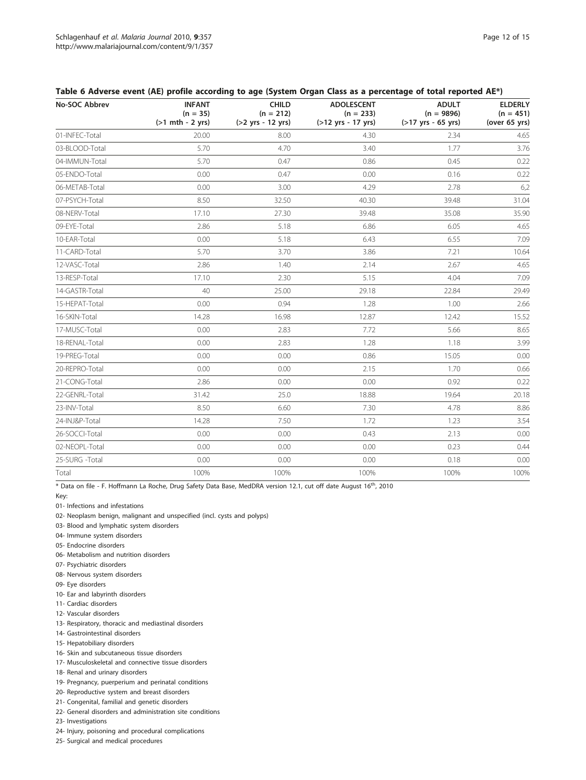# <span id="page-11-0"></span>Table 6 Adverse event (AE) profile according to age (System Organ Class as a percentage of total reported AE\*)

| No-SOC Abbrev  | <b>INFANT</b><br>$(n = 35)$<br>$(>1$ mth - 2 yrs) | <b>CHILD</b><br>$(n = 212)$<br>$(>2$ yrs - 12 yrs) | <b>ADOLESCENT</b><br>$(n = 233)$<br>$( > 12$ yrs - 17 yrs) | <b>ADULT</b><br>$(n = 9896)$<br>$(>17$ yrs - 65 yrs) | <b>ELDERLY</b><br>$(n = 451)$<br>(over 65 yrs) |
|----------------|---------------------------------------------------|----------------------------------------------------|------------------------------------------------------------|------------------------------------------------------|------------------------------------------------|
| 01-INFEC-Total | 20.00                                             | 8.00                                               | 4.30                                                       | 2.34                                                 | 4.65                                           |
| 03-BLOOD-Total | 5.70                                              | 4.70                                               | 3.40                                                       | 1.77                                                 | 3.76                                           |
| 04-IMMUN-Total | 5.70                                              | 0.47                                               | 0.86                                                       | 0.45                                                 | 0.22                                           |
| 05-ENDO-Total  | 0.00                                              | 0.47                                               | 0.00                                                       | 0.16                                                 | 0.22                                           |
| 06-METAB-Total | 0.00                                              | 3.00                                               | 4.29                                                       | 2.78                                                 | 6,2                                            |
| 07-PSYCH-Total | 8.50                                              | 32.50                                              | 40.30                                                      | 39.48                                                | 31.04                                          |
| 08-NERV-Total  | 17.10                                             | 27.30                                              | 39.48                                                      | 35.08                                                | 35.90                                          |
| 09-EYE-Total   | 2.86                                              | 5.18                                               | 6.86                                                       | 6.05                                                 | 4.65                                           |
| 10-EAR-Total   | 0.00                                              | 5.18                                               | 6.43                                                       | 6.55                                                 | 7.09                                           |
| 11-CARD-Total  | 5.70                                              | 3.70                                               | 3.86                                                       | 7.21                                                 | 10.64                                          |
| 12-VASC-Total  | 2.86                                              | 1.40                                               | 2.14                                                       | 2.67                                                 | 4.65                                           |
| 13-RESP-Total  | 17.10                                             | 2.30                                               | 5.15                                                       | 4.04                                                 | 7.09                                           |
| 14-GASTR-Total | 40                                                | 25.00                                              | 29.18                                                      | 22.84                                                | 29.49                                          |
| 15-HEPAT-Total | 0.00                                              | 0.94                                               | 1.28                                                       | 1.00                                                 | 2.66                                           |
| 16-SKIN-Total  | 14.28                                             | 16.98                                              | 12.87                                                      | 12.42                                                | 15.52                                          |
| 17-MUSC-Total  | 0.00                                              | 2.83                                               | 7.72                                                       | 5.66                                                 | 8.65                                           |
| 18-RENAL-Total | 0.00                                              | 2.83                                               | 1.28                                                       | 1.18                                                 | 3.99                                           |
| 19-PREG-Total  | 0.00                                              | 0.00                                               | 0.86                                                       | 15.05                                                | 0.00                                           |
| 20-REPRO-Total | 0.00                                              | 0.00                                               | 2.15                                                       | 1.70                                                 | 0.66                                           |
| 21-CONG-Total  | 2.86                                              | 0.00                                               | 0.00                                                       | 0.92                                                 | 0.22                                           |
| 22-GENRL-Total | 31.42                                             | 25.0                                               | 18.88                                                      | 19.64                                                | 20.18                                          |
| 23-INV-Total   | 8.50                                              | 6.60                                               | 7.30                                                       | 4.78                                                 | 8.86                                           |
| 24-INJ&P-Total | 14.28                                             | 7.50                                               | 1.72                                                       | 1.23                                                 | 3.54                                           |
| 26-SOCCI-Total | 0.00                                              | 0.00                                               | 0.43                                                       | 2.13                                                 | 0.00                                           |
| 02-NEOPL-Total | 0.00                                              | 0.00                                               | 0.00                                                       | 0.23                                                 | 0.44                                           |
| 25-SURG -Total | 0.00                                              | 0.00                                               | 0.00                                                       | 0.18                                                 | 0.00                                           |
| Total          | 100%                                              | 100%                                               | 100%                                                       | 100%                                                 | 100%                                           |

\* Data on file - F. Hoffmann La Roche, Drug Safety Data Base, MedDRA version 12.1, cut off date August 16th, 2010

Key:

- 01- Infections and infestations
- 02- Neoplasm benign, malignant and unspecified (incl. cysts and polyps)
- 03- Blood and lymphatic system disorders
- 04- Immune system disorders
- 05- Endocrine disorders
- 06- Metabolism and nutrition disorders
- 07- Psychiatric disorders
- 08- Nervous system disorders
- 09- Eye disorders
- 10- Ear and labyrinth disorders
- 11- Cardiac disorders
- 12- Vascular disorders
- 13- Respiratory, thoracic and mediastinal disorders
- 14- Gastrointestinal disorders
- 15- Hepatobiliary disorders
- 16- Skin and subcutaneous tissue disorders
- 17- Musculoskeletal and connective tissue disorders
- 18- Renal and urinary disorders
- 19- Pregnancy, puerperium and perinatal conditions
- 20- Reproductive system and breast disorders
- 21- Congenital, familial and genetic disorders
- 22- General disorders and administration site conditions

23- Investigations

- 24- Injury, poisoning and procedural complications
- 25- Surgical and medical procedures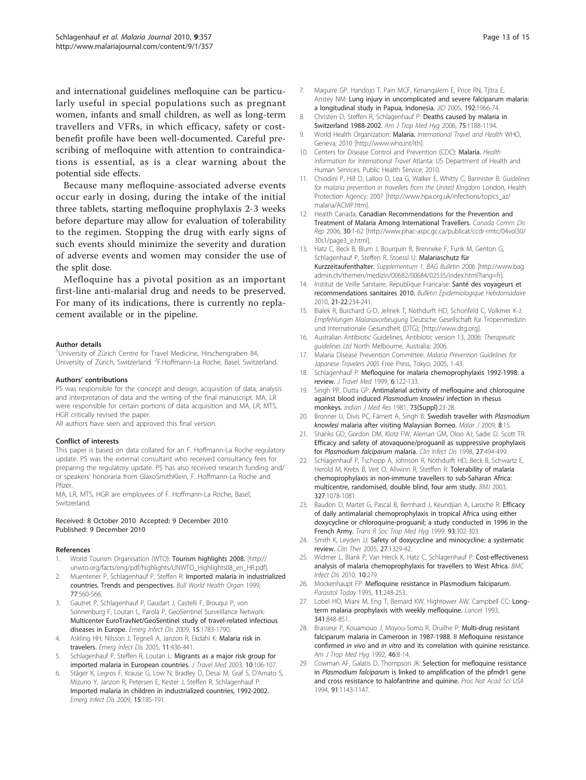<span id="page-12-0"></span>and international guidelines mefloquine can be particularly useful in special populations such as pregnant women, infants and small children, as well as long-term travellers and VFRs, in which efficacy, safety or costbenefit profile have been well-documented. Careful prescribing of mefloquine with attention to contraindications is essential, as is a clear warning about the potential side effects.

Because many mefloquine-associated adverse events occur early in dosing, during the intake of the initial three tablets, starting mefloquine prophylaxis 2-3 weeks before departure may allow for evaluation of tolerability to the regimen. Stopping the drug with early signs of such events should minimize the severity and duration of adverse events and women may consider the use of the split dose.

Mefloquine has a pivotal position as an important first-line anti-malarial drug and needs to be preserved. For many of its indications, there is currently no replacement available or in the pipeline.

#### Author details

<sup>1</sup>University of Zürich Centre for Travel Medicine, Hirschengraben 84, University of Zürich, Switzerland. <sup>2</sup>F.Hoffmann-La Roche, Basel, Switzerland.

#### Authors' contributions

PS was responsible for the concept and design, acquisition of data, analysis and interpretation of data and the writing of the final manuscript. MA, LR were responsible for certain portions of data acquisition and MA, LR, MTS, HGR critically revised the paper.

All authors have seen and approved this final version.

#### Conflict of interests

This paper is based on data collated for an F. Hoffmann-La Roche regulatory update. PS was the external consultant who received consultancy fees for preparing the regulatory update. PS has also received research funding and/ or speakers' honoraria from GlaxoSmithKlein, F. Hoffmann-La Roche and Pfizer.

MA, LR, MTS, HGR are employees of F. Hoffmann-La Roche, Basel, Switzerland.

#### Received: 8 October 2010 Accepted: 9 December 2010 Published: 9 December 2010

#### References

- 1. World Tourism Organisation (WTO): Tourism highlights 2008. [\[http://](http://unwto.org/facts/eng/pdf/highlights/UNWTO_Highlights08_en_HR.pdf) [unwto.org/facts/eng/pdf/highlights/UNWTO\\_Highlights08\\_en\\_HR.pdf\]](http://unwto.org/facts/eng/pdf/highlights/UNWTO_Highlights08_en_HR.pdf).
- Muentener P, Schlagenhauf P, Steffen R: [Imported malaria in industrialized](http://www.ncbi.nlm.nih.gov/pubmed/10444879?dopt=Abstract) [countries. Trends and perspectives.](http://www.ncbi.nlm.nih.gov/pubmed/10444879?dopt=Abstract) Bull World Health Organ 1999, 77:560-566.
- Gautret P, Schlagenhauf P, Gaudart J, Castelli F, Brouqui P, von Sonnenburg F, Loutan L, Parola P, GeoSentinel Surveillance Network: [Multicenter EuroTravNet/GeoSentinel study of travel-related infectious](http://www.ncbi.nlm.nih.gov/pubmed/19891866?dopt=Abstract) [diseases in Europe.](http://www.ncbi.nlm.nih.gov/pubmed/19891866?dopt=Abstract) Emerg Infect Dis 2009, 15:1783-1790.
- 4. Askling HH, Nilsson J, Tegnell A, Janzon R, Ekdahl K: [Malaria risk in](http://www.ncbi.nlm.nih.gov/pubmed/15757560?dopt=Abstract) [travelers.](http://www.ncbi.nlm.nih.gov/pubmed/15757560?dopt=Abstract) Emerg Infect Dis 2005, 11:436-441.
- 5. Schlagenhauf P, Steffen R, Loutan L: [Migrants as a major risk group for](http://www.ncbi.nlm.nih.gov/pubmed/12650653?dopt=Abstract) [imported malaria in European countries.](http://www.ncbi.nlm.nih.gov/pubmed/12650653?dopt=Abstract) J Travel Med 2003, 10:106-107.
- 6. Stäger K, Legros F, Krause G, Low N, Bradley D, Desai M, Graf S, D'Amato S, Mizuno Y, Janzon R, Petersen E, Kester J, Steffen R, Schlagenhauf P: [Imported malaria in children in industrialized countries, 1992-2002.](http://www.ncbi.nlm.nih.gov/pubmed/19193261?dopt=Abstract) Emerg Infect Dis 2009, 15:185-191.
- 7. Maguire GP, Handojo T, Pain MCF, Kenangalem E, Price RN, Tjitra E, Anstey NM: [Lung injury in uncomplicated and severe falciparum malaria:](http://www.ncbi.nlm.nih.gov/pubmed/16267769?dopt=Abstract) [a longitudinal study in Papua, Indonesia.](http://www.ncbi.nlm.nih.gov/pubmed/16267769?dopt=Abstract) JID 2005, 192:1966-74.
- 8. Christen D, Steffen R, Schlagenhauf P: [Deaths caused by malaria in](http://www.ncbi.nlm.nih.gov/pubmed/17172391?dopt=Abstract) [Switzerland 1988-2002.](http://www.ncbi.nlm.nih.gov/pubmed/17172391?dopt=Abstract) Am J Trop Med Hyg 2006, 75:1188-1194.
- 9. World Health Organization: Malaria. International Travel and Health WHO, Geneva; 2010 [\[http://www.who.int/ith\]](http://www.who.int/ith).
- 10. Centers for Disease Control and Prevention (CDC): Malaria. Health Information for International Travel Atlanta: US Department of Health and Human Services, Public Health Service; 2010.
- 11. Chiodini P, Hill D, Lalloo D, Lea G, Walker E, Whitty C, Bannister B: Guidelines for malaria prevention in travellers from the United Kingdom London, Health Protection Agency; 2007 [[http://www.hpa.org.uk/infections/topics\\_az/](http://www.hpa.org.uk/infections/topics_az/malaria/ACMP.htm) [malaria/ACMP.htm](http://www.hpa.org.uk/infections/topics_az/malaria/ACMP.htm)].
- 12. Health Canada: Canadian Recommendations for the Prevention and Treatment of Malaria Among International Travellers. Canada Comm Dis Rep 2006, 30:1-62 [[http://www.phac-aspc.gc.ca/publicat/ccdr-rmtc/04vol30/](http://www.phac-aspc.gc.ca/publicat/ccdr-rmtc/04vol30/30s1/page3_e.html) [30s1/page3\\_e.html\]](http://www.phac-aspc.gc.ca/publicat/ccdr-rmtc/04vol30/30s1/page3_e.html).
- 13. Hatz C, Beck B, Blum J, Bourquin B, Brenneke F, Funk M, Genton G, Schlagenhauf P, Steffen R, Stoessl U: Malariaschutz für Kurzzeitaufenthalter. Supplementum 1. BAG Bulletin 2006 [[http://www.bag.](http://www.bag.admin.ch/themen/medizin/00682/00684/02535/index.html?lang=fr) [admin.ch/themen/medizin/00682/00684/02535/index.html?lang=fr](http://www.bag.admin.ch/themen/medizin/00682/00684/02535/index.html?lang=fr)].
- 14. Institut de Veille Sanitaire, Republique Francaise: Santé des voyageurs et recommendations sanitaires 2010. Bulletin Epidemiologique Hebdomadaire 2010, 21-22:234-241.
- 15. Bialek R, Burchard G-D, Jelinek T, Nothdurft HD, Schonfeld C, Volkmer K-J: Empfehlungen Malariavorbeugung Deutsche Gesellschaft für Tropenmedizin und Internationale Gesundheit (DTG); [[http://www.dtg.org\]](http://www.dtg.org).
- 16. Australian Antibiotic Guidelines, Antibiotic version 13, 2006: Therapeutic guidelines Ltd North Melbourne, Australia; 2006.
- 17. Malaria Disease Prevention Committee: Malaria Prevention Guidelines for Japanese Travelers 2005 Free Press, Tokyo; 2005, 1-43.
- 18. Schlagenhauf P: [Mefloquine for malaria chemoprophylaxis 1992-1998: a](http://www.ncbi.nlm.nih.gov/pubmed/10381965?dopt=Abstract) [review.](http://www.ncbi.nlm.nih.gov/pubmed/10381965?dopt=Abstract) J Travel Med 1999, 6:122-133.
- 19. Singh PP, Dutta GP: [Antimalarial activity of mefloquine and chloroquine](http://www.ncbi.nlm.nih.gov/pubmed/6974694?dopt=Abstract) [against blood induced](http://www.ncbi.nlm.nih.gov/pubmed/6974694?dopt=Abstract) Plasmodium knowlesi infection in rhesus [monkeys.](http://www.ncbi.nlm.nih.gov/pubmed/6974694?dopt=Abstract) Indian J Med Res 1981, 73(Suppl):23-28.
- 20. Bronner U, Divis PC, Färnert A, Singh B: [Swedish traveller with](http://www.ncbi.nlm.nih.gov/pubmed/19146706?dopt=Abstract) Plasmodium knowlesi [malaria after visiting Malaysian Borneo.](http://www.ncbi.nlm.nih.gov/pubmed/19146706?dopt=Abstract) Malar J 2009, 8:15.
- 21. Shanks GD, Gordon DM, Klotz FW, Aleman GM, Oloo AJ, Sadie D, Scott TR: [Efficacy and safety of atovaquone/proguanil as suppressive prophylaxis](http://www.ncbi.nlm.nih.gov/pubmed/9770146?dopt=Abstract) for [Plasmodium falciparum](http://www.ncbi.nlm.nih.gov/pubmed/9770146?dopt=Abstract) malaria. Clin Infect Dis 1998, 27:494-499.
- 22. Schlagenhauf P, Tschopp A, Johnson R, Nothdurft HD, Beck B, Schwartz E, Herold M, Krebs B, Veit O, Allwinn R, Stetffen R: [Tolerability of malaria](http://www.ncbi.nlm.nih.gov/pubmed/14604928?dopt=Abstract) [chemoprophylaxis in non-immune travellers to sub-Saharan Africa:](http://www.ncbi.nlm.nih.gov/pubmed/14604928?dopt=Abstract) [multicentre, randomised, double blind, four arm study.](http://www.ncbi.nlm.nih.gov/pubmed/14604928?dopt=Abstract) BMJ 2003, 327:1078-1081.
- 23. Baudon D, Martet G, Pascal B, Bernhard J, Keundjian A, Laroche R: [Efficacy](http://www.ncbi.nlm.nih.gov/pubmed/10492765?dopt=Abstract) [of daily antimalarial chemoprophylaxis in tropical Africa using either](http://www.ncbi.nlm.nih.gov/pubmed/10492765?dopt=Abstract) [doxycycline or chloroquine-proguanil; a study conducted in 1996 in the](http://www.ncbi.nlm.nih.gov/pubmed/10492765?dopt=Abstract) [French Army.](http://www.ncbi.nlm.nih.gov/pubmed/10492765?dopt=Abstract) Trans R Soc Trop Med Hyg 1999, 93:302-303.
- 24. Smith K, Leyden JJ: [Safety of doxycycline and minocycline: a systematic](http://www.ncbi.nlm.nih.gov/pubmed/16291409?dopt=Abstract) [review.](http://www.ncbi.nlm.nih.gov/pubmed/16291409?dopt=Abstract) Clin Ther 2005, 27:1329-42.
- 25. Widmer L, Blank P, Van Herck K, Hatz C, Schlagenhauf P: [Cost-effectiveness](http://www.ncbi.nlm.nih.gov/pubmed/20860809?dopt=Abstract) [analysis of malaria chemoprophylaxis for travellers to West Africa.](http://www.ncbi.nlm.nih.gov/pubmed/20860809?dopt=Abstract) BMC Infect Dis 2010, 10:279.
- 26. Mockenhaupt FP: [Mefloquine resistance in Plasmodium falciparum.](http://www.ncbi.nlm.nih.gov/pubmed/15275335?dopt=Abstract) Parasitol Today 1995, 11:248-253.
- 27. Lobel HO, Miani M, Eng T, Bernard KW, Hightower AW, Campbell CC: [Long](http://www.ncbi.nlm.nih.gov/pubmed/8096560?dopt=Abstract)[term malaria prophylaxis with weekly mefloquine.](http://www.ncbi.nlm.nih.gov/pubmed/8096560?dopt=Abstract) Lancet 1993, 341:848-851.
- 28. Brasseur P, Kouamouo J, Moyou-Somo R, Druilhe P: [Multi-drug resistant](http://www.ncbi.nlm.nih.gov/pubmed/1536387?dopt=Abstract) [falciparum malaria in Cameroon in 1987-1988. II Mefloquine resistance](http://www.ncbi.nlm.nih.gov/pubmed/1536387?dopt=Abstract) confirmed in vivo and in vitro [and its correlation with quinine resistance.](http://www.ncbi.nlm.nih.gov/pubmed/1536387?dopt=Abstract) Am J Trop Med Hyg 1992, 46:8-14.
- 29. Cowman AF, Galatis D, Thompson JK: [Selection for mefloquine resistance](http://www.ncbi.nlm.nih.gov/pubmed/8302844?dopt=Abstract) in Plasmodium falciparum [is linked to amplification of the pfmdr1 gene](http://www.ncbi.nlm.nih.gov/pubmed/8302844?dopt=Abstract) [and cross resistance to halofantrine and quinine.](http://www.ncbi.nlm.nih.gov/pubmed/8302844?dopt=Abstract) Proc Nat Acad Sci USA 1994, 91:1143-1147.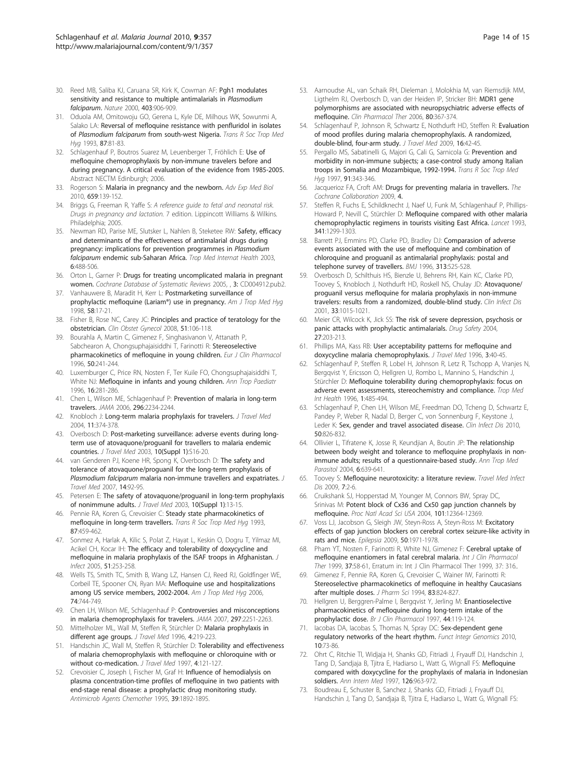- <span id="page-13-0"></span>30. Reed MB, Saliba KJ, Caruana SR, Kirk K, Cowman AF: [Pgh1 modulates](http://www.ncbi.nlm.nih.gov/pubmed/10706290?dopt=Abstract) [sensitivity and resistance to multiple antimalarials in](http://www.ncbi.nlm.nih.gov/pubmed/10706290?dopt=Abstract) Plasmodium [falciparum](http://www.ncbi.nlm.nih.gov/pubmed/10706290?dopt=Abstract). Nature 2000, 403:906-909.
- 31. Oduola AM, Omitowoju GO, Gerena L, Kyle DE, Milhous WK, Sowunmi A, Salako LA: [Reversal of mefloquine resistance with penfluridol in isolates](http://www.ncbi.nlm.nih.gov/pubmed/8465407?dopt=Abstract) of Plasmodium falciparum [from south-west Nigeria.](http://www.ncbi.nlm.nih.gov/pubmed/8465407?dopt=Abstract) Trans R Soc Trop Med Hyg 1993, 87:81-83.
- 32. Schlagenhauf P, Boutros Suarez M, Leuenberger T, Fröhlich E: Use of mefloquine chemoprophylaxis by non-immune travelers before and during pregnancy. A critical evaluation of the evidence from 1985-2005. Abstract NECTM Edinburgh; 2006.
- 33. Rogerson S: [Malaria in pregnancy and the newborn.](http://www.ncbi.nlm.nih.gov/pubmed/20204762?dopt=Abstract) Adv Exp Med Biol 2010, 659:139-152.
- 34. Briggs G, Freeman R, Yaffe S: A reference guide to fetal and neonatal risk. Drugs in pregnancy and lactation. 7 edition. Lippincott Williams & Wilkins. Philadelphia; 2005.
- 35. Newman RD, Parise ME, Slutsker L, Nahlen B, Steketee RW: Safety, efficacy and determinants of the effectiveness of antimalarial drugs during pregnancy: implications for prevention programmes in Plasmodium falciparum endemic sub-Saharan Africa. Trop Med Internat Health 2003, 6:488-506.
- 36. Orton L, Garner P: Drugs for treating uncomplicated malaria in pregnant women. Cochrane Database of Systematic Reviews 2005, , 3: CD004912.pub2.
- 37. Vanhauwere B, Maradit H, Kerr L: [Postmarketing surveillance of](http://www.ncbi.nlm.nih.gov/pubmed/9452285?dopt=Abstract) [prophylactic mefloquine \(Lariam®\) use in pregnancy.](http://www.ncbi.nlm.nih.gov/pubmed/9452285?dopt=Abstract) Am J Trop Med Hyg 1998, 58:17-21.
- 38. Fisher B, Rose NC, Carey JC: [Principles and practice of teratology for the](http://www.ncbi.nlm.nih.gov/pubmed/18303504?dopt=Abstract) [obstetrician.](http://www.ncbi.nlm.nih.gov/pubmed/18303504?dopt=Abstract) Clin Obstet Gynecol 2008, 51:106-118.
- 39. Bourahla A, Martin C, Gimenez F, Singhasivanon V, Attanath P, Sabchearon A, Chongsuphajaisiddhi T, Farinotti R: [Stereoselective](http://www.ncbi.nlm.nih.gov/pubmed/8737767?dopt=Abstract) [pharmacokinetics of mefloquine in young children.](http://www.ncbi.nlm.nih.gov/pubmed/8737767?dopt=Abstract) Eur J Clin Pharmacol 1996, 50:241-244.
- 40. Luxemburger C, Price RN, Nosten F, Ter Kuile FO, Chongsuphajaisiddhi T, White NJ: [Mefloquine in infants and young children.](http://www.ncbi.nlm.nih.gov/pubmed/8985524?dopt=Abstract) Ann Trop Paediatr 1996, 16:281-286.
- 41. Chen L, Wilson ME, Schlagenhauf P: [Prevention of malaria in long-term](http://www.ncbi.nlm.nih.gov/pubmed/17090770?dopt=Abstract) [travelers.](http://www.ncbi.nlm.nih.gov/pubmed/17090770?dopt=Abstract) JAMA 2006, 296:2234-2244.
- 42. Knobloch J: [Long-term malaria prophylaxis for travelers.](http://www.ncbi.nlm.nih.gov/pubmed/15569575?dopt=Abstract) J Travel Med 2004, 11:374-378.
- 43. Overbosch D: [Post-marketing surveillance: adverse events during long](http://www.ncbi.nlm.nih.gov/pubmed/12737756?dopt=Abstract)[term use of atovaquone/proguanil for travellers to malaria endemic](http://www.ncbi.nlm.nih.gov/pubmed/12737756?dopt=Abstract) [countries.](http://www.ncbi.nlm.nih.gov/pubmed/12737756?dopt=Abstract) J Travel Med 2003, 10(Suppl 1):S16-20.
- 44. van Genderen PJ, Koene HR, Spong K, Overbosch D: [The safety and](http://www.ncbi.nlm.nih.gov/pubmed/17367478?dopt=Abstract) [tolerance of atovaquone/proguanil for the long-term prophylaxis of](http://www.ncbi.nlm.nih.gov/pubmed/17367478?dopt=Abstract) Plasmodium falciparum [malaria non-immune travellers and expatriates.](http://www.ncbi.nlm.nih.gov/pubmed/17367478?dopt=Abstract) J Travel Med 2007, 14:92-95.
- 45. Petersen E: The safety of atovaquone/proguanil in long-term prophylaxis of nonimmune adults. J Travel Med 2003, 10(Suppl 1):13-15.
- 46. Pennie RA, Koren G, Crevoisier C: [Steady state pharmacokinetics of](http://www.ncbi.nlm.nih.gov/pubmed/8249080?dopt=Abstract) [mefloquine in long-term travellers.](http://www.ncbi.nlm.nih.gov/pubmed/8249080?dopt=Abstract) Trans R Soc Trop Med Hyg 1993, 87:459-462.
- 47. Sonmez A, Harlak A, Kilic S, Polat Z, Hayat L, Keskin O, Dogru T, Yilmaz MI, Acikel CH, Kocar IH: [The efficacy and tolerability of doxycycline and](http://www.ncbi.nlm.nih.gov/pubmed/16230223?dopt=Abstract) [mefloquine in malaria prophylaxis of the ISAF troops in Afghanistan.](http://www.ncbi.nlm.nih.gov/pubmed/16230223?dopt=Abstract) J Infect 2005, 51:253-258.
- 48. Wells TS, Smith TC, Smith B, Wang LZ, Hansen CJ, Reed RJ, Goldfinger WE, Corbeil TE, Spooner CN, Ryan MA: [Mefloquine use and hospitalizations](http://www.ncbi.nlm.nih.gov/pubmed/16687673?dopt=Abstract) [among US service members, 2002-2004.](http://www.ncbi.nlm.nih.gov/pubmed/16687673?dopt=Abstract) Am J Trop Med Hyg 2006, 74:744-749.
- 49. Chen LH, Wilson ME, Schlagenhauf P: [Controversies and misconceptions](http://www.ncbi.nlm.nih.gov/pubmed/17519415?dopt=Abstract) [in malaria chemoprophylaxis for travelers.](http://www.ncbi.nlm.nih.gov/pubmed/17519415?dopt=Abstract) JAMA 2007, 297:2251-2263.
- 50. Mittelholzer ML, Wall M, Steffen R, Stürchler D: Malaria prophylaxis in different age groups. J Travel Med 1996, 4:219-223.
- 51. Handschin JC, Wall M, Steffen R, Stürchler D: [Tolerability and effectiveness](http://www.ncbi.nlm.nih.gov/pubmed/9815496?dopt=Abstract) [of malaria chemoprophylaxis with mefloquine or chloroquine with or](http://www.ncbi.nlm.nih.gov/pubmed/9815496?dopt=Abstract) [without co-medication.](http://www.ncbi.nlm.nih.gov/pubmed/9815496?dopt=Abstract) J Travel Med 1997, 4:121-127.
- 52. Crevoisier C, Joseph I, Fischer M, Graf H: [Influence of hemodialysis on](http://www.ncbi.nlm.nih.gov/pubmed/7486943?dopt=Abstract) [plasma concentration-time profiles of mefloquine in two patients with](http://www.ncbi.nlm.nih.gov/pubmed/7486943?dopt=Abstract) [end-stage renal disease: a prophylactic drug monitoring study.](http://www.ncbi.nlm.nih.gov/pubmed/7486943?dopt=Abstract) Antimicrob Agents Chemother 1995, 39:1892-1895.
- 53. Aarnoudse AL, van Schaik RH, Dieleman J, Molokhia M, van Riemsdijk MM, Ligthelm RJ, Overbosch D, van der Heiden IP, Stricker BH: [MDR1 gene](http://www.ncbi.nlm.nih.gov/pubmed/17015054?dopt=Abstract) [polymorphisms are associated with neuropsychiatric adverse effects of](http://www.ncbi.nlm.nih.gov/pubmed/17015054?dopt=Abstract) [mefloquine.](http://www.ncbi.nlm.nih.gov/pubmed/17015054?dopt=Abstract) Clin Pharmacol Ther 2006, 80:367-374.
- 54. Schlagenhauf P, Johnson R, Schwartz E, Nothdurft HD, Steffen R: [Evaluation](http://www.ncbi.nlm.nih.gov/pubmed/19192127?dopt=Abstract) [of mood profiles during malaria chemoprophylaxis. A randomized,](http://www.ncbi.nlm.nih.gov/pubmed/19192127?dopt=Abstract) [double-blind, four-arm study.](http://www.ncbi.nlm.nih.gov/pubmed/19192127?dopt=Abstract) J Travel Med 2009, 16:42-45.
- 55. Pergallo MS, Sabatinelli G, Majori G, Cali G, Sarnicola G: [Prevention and](http://www.ncbi.nlm.nih.gov/pubmed/9231213?dopt=Abstract) [morbidity in non-immune subjects; a case-control study among Italian](http://www.ncbi.nlm.nih.gov/pubmed/9231213?dopt=Abstract) [troops in Somalia and Mozambique, 1992-1994.](http://www.ncbi.nlm.nih.gov/pubmed/9231213?dopt=Abstract) Trans R Soc Trop Med Hyg 1997, 91:343-346.
- 56. Jacquerioz FA, Croft AM: Drugs for preventing malaria in travellers. The Cochrane Collaboration 2009, 4.
- 57. Steffen R, Fuchs E, Schildknecht J, Naef U, Funk M, Schlagenhauf P, Phillips-Howard P, Nevill C, Stürchler D: [Mefloquine compared with other malaria](http://www.ncbi.nlm.nih.gov/pubmed/8098447?dopt=Abstract) [chemoprophylactic regimens in tourists visiting East Africa.](http://www.ncbi.nlm.nih.gov/pubmed/8098447?dopt=Abstract) Lancet 1993, 341:1299-1303.
- 58. Barrett PJ, Emmins PD, Clarke PD, Bradley DJ: [Comparasion of adverse](http://www.ncbi.nlm.nih.gov/pubmed/8789977?dopt=Abstract) [events associated with the use of mefloquine and combination of](http://www.ncbi.nlm.nih.gov/pubmed/8789977?dopt=Abstract) [chloroquine and proguanil as antimalarial prophylaxis: postal and](http://www.ncbi.nlm.nih.gov/pubmed/8789977?dopt=Abstract) [telephone survey of travellers.](http://www.ncbi.nlm.nih.gov/pubmed/8789977?dopt=Abstract) BMJ 1996, 313:525-528.
- 59. Overbosch D, Schilthuis HS, Bienzle U, Behrens RH, Kain KC, Clarke PD, Toovey S, Knobloch J, Nothdurft HD, Roskell NS, Chulay JD: [Atovaquone/](http://www.ncbi.nlm.nih.gov/pubmed/11528574?dopt=Abstract) [proguanil versus mefloquine for malaria prophylaxis in non-immune](http://www.ncbi.nlm.nih.gov/pubmed/11528574?dopt=Abstract) [travelers: results from a randomized, double-blind study.](http://www.ncbi.nlm.nih.gov/pubmed/11528574?dopt=Abstract) Clin Infect Dis 2001, 33:1015-1021.
- 60. Meier CR, Wilcock K, Jick SS: [The risk of severe depression, psychosis or](http://www.ncbi.nlm.nih.gov/pubmed/14756582?dopt=Abstract) [panic attacks with prophylactic antimalarials.](http://www.ncbi.nlm.nih.gov/pubmed/14756582?dopt=Abstract) Drug Safety 2004, 27:203-213.
- 61. Phillips MA, Kass RB: [User acceptability patterns for mefloquine and](http://www.ncbi.nlm.nih.gov/pubmed/9815421?dopt=Abstract) [doxycycline malaria chemoprophylaxis.](http://www.ncbi.nlm.nih.gov/pubmed/9815421?dopt=Abstract) J Travel Med 1996, 3:40-45.
- 62. Schlagenhauf P, Steffen R, Lobel H, Johnson R, Letz R, Tschopp A, Vranjes N, Bergqvist Y, Ericsson O, Hellgren U, Rombo L, Mannino S, Handschin J, Stürchler D: [Mefloquine tolerability during chemoprophylaxis: focus on](http://www.ncbi.nlm.nih.gov/pubmed/8765456?dopt=Abstract) [adverse event assessments, stereochemistry and compliance.](http://www.ncbi.nlm.nih.gov/pubmed/8765456?dopt=Abstract) Trop Med Int Health 1996, 1:485-494.
- 63. Schlagenhauf P, Chen LH, Wilson ME, Freedman DO, Tcheng D, Schwartz E, Pandey P, Weber R, Nadal D, Berger C, von Sonnenburg F, Keystone J, Leder K: [Sex, gender and travel associated disease.](http://www.ncbi.nlm.nih.gov/pubmed/20156059?dopt=Abstract) Clin Infect Dis 2010, 50:826-832.
- 64. Ollivier L, Tifratene K, Josse R, Keundjian A, Boutin JP: The relationship between body weight and tolerance to mefloquine prophylaxis in nonimmune adults; results of a questionnaire-based study. Ann Trop Med Parasitol 2004, 6:639-641.
- 65. Toovey S: [Mefloquine neurotoxicity: a literature review.](http://www.ncbi.nlm.nih.gov/pubmed/19174293?dopt=Abstract) Travel Med Infect Dis 2009, 7:2-6.
- 66. Cruikshank SJ, Hopperstad M, Younger M, Connors BW, Spray DC, Srinivas M: [Potent block of Cx36 and Cx50 gap junction channels by](http://www.ncbi.nlm.nih.gov/pubmed/15297615?dopt=Abstract) [mefloquine.](http://www.ncbi.nlm.nih.gov/pubmed/15297615?dopt=Abstract) Proc Natl Acad Sci USA 2004, 101:12364-12369.
- 67. Voss LJ, Jacobson G, Sleigh JW, Steyn-Ross A, Steyn-Ross M: [Excitatory](http://www.ncbi.nlm.nih.gov/pubmed/19486358?dopt=Abstract) [effects of gap junction blockers on cerebral cortex seizure-like activity in](http://www.ncbi.nlm.nih.gov/pubmed/19486358?dopt=Abstract) [rats and mice.](http://www.ncbi.nlm.nih.gov/pubmed/19486358?dopt=Abstract) Epilepsia 2009, 50:1971-1978.
- 68. Pham YT, Nosten F, Farinotti R, White NJ, Gimenez F: [Cerebral uptake of](http://www.ncbi.nlm.nih.gov/pubmed/10027484?dopt=Abstract) [mefloquine enantiomers in fatal cerebral malaria.](http://www.ncbi.nlm.nih.gov/pubmed/10027484?dopt=Abstract) Int J Clin Pharmacol Ther 1999, 37:58-61, Erratum in: Int J Clin Pharmacol Ther 1999, 37: 316..
- 69. Gimenez F, Pennie RA, Koren G, Crevoisier C, Wainer IW, Farinotti R: [Stereoselective pharmacokinetics of mefloquine in healthy Caucasians](http://www.ncbi.nlm.nih.gov/pubmed/9120814?dopt=Abstract) [after multiple doses.](http://www.ncbi.nlm.nih.gov/pubmed/9120814?dopt=Abstract) J Pharm Sci 1994, 83:824-827.
- 70. Hellgren U, Berggren-Palme I, Bergqvist Y, Jerling M: [Enantioselective](http://www.ncbi.nlm.nih.gov/pubmed/9278194?dopt=Abstract) [pharmacokinetics of mefloquine during long-term intake of the](http://www.ncbi.nlm.nih.gov/pubmed/9278194?dopt=Abstract) [prophylactic dose.](http://www.ncbi.nlm.nih.gov/pubmed/9278194?dopt=Abstract) Br J Clin Pharmacol 1997, 44:119-124.
- 71. Iacobas DA, Iacobas S, Thomas N, Spray DC: [Sex-dependent gene](http://www.ncbi.nlm.nih.gov/pubmed/19756788?dopt=Abstract) [regulatory networks of the heart rhythm.](http://www.ncbi.nlm.nih.gov/pubmed/19756788?dopt=Abstract) Funct Integr Genomics 2010, 10:73-86.
- 72. Ohrt C, Ritchie Tl, Widjaja H, Shanks GD, Fitriadi J, Fryauff DJ, Handschin J, Tang D, Sandjaja B, Tjitra E, Hadiarso L, Watt G, Wignall FS: [Mefloquine](http://www.ncbi.nlm.nih.gov/pubmed/9182474?dopt=Abstract) [compared with doxycycline for the prophylaxis of malaria in Indonesian](http://www.ncbi.nlm.nih.gov/pubmed/9182474?dopt=Abstract) [soldiers.](http://www.ncbi.nlm.nih.gov/pubmed/9182474?dopt=Abstract) Ann Intern Med 1997, 126:963-972.
- 73. Boudreau E, Schuster B, Sanchez J, Shanks GD, Fitriadi J, Fryauff DJ, Handschin J, Tang D, Sandjaja B, Tjitra E, Hadiarso L, Watt G, Wignall FS: